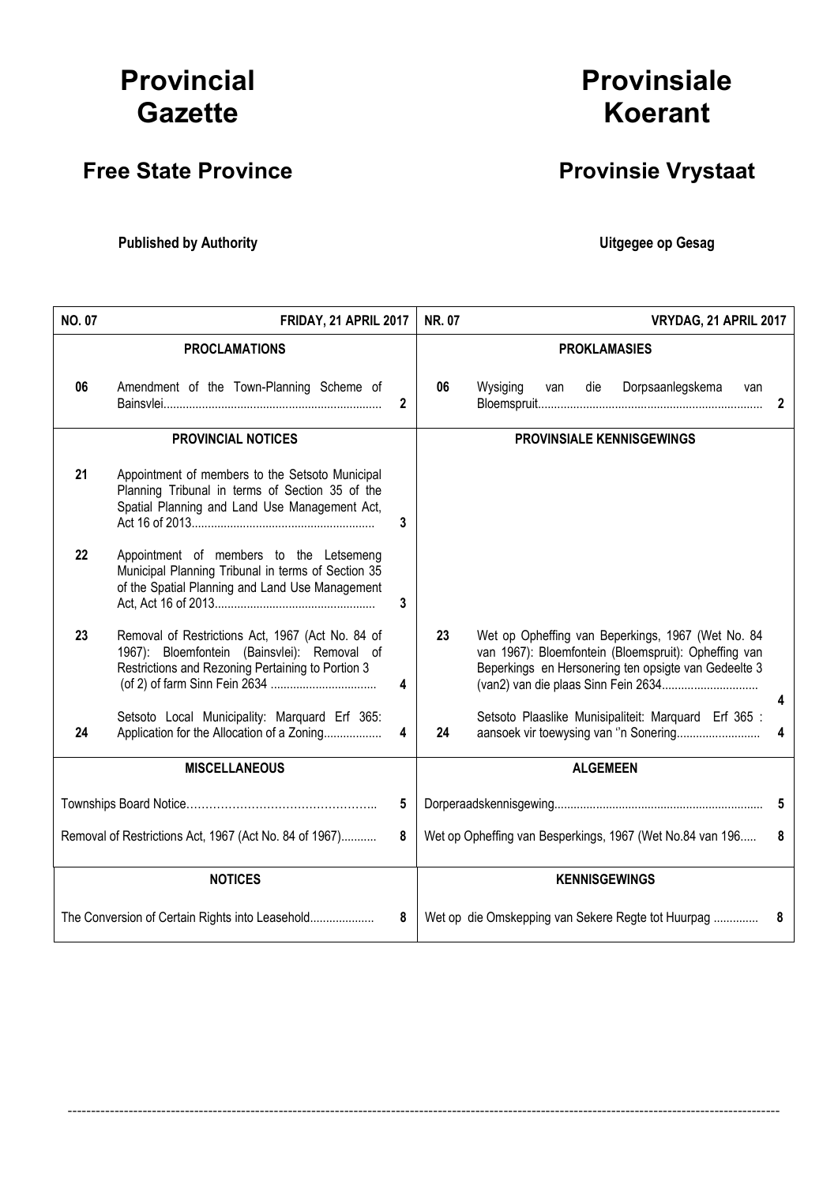# Provincial **Gazette**

# Free State Province **Provinsie Vrystaat**

Published by Authority **National Execution Control Control Control Control Control Control Control Control Control Control Control Control Control Control Control Control Control Control Control Control Control Control Con** 

| <b>NO. 07</b><br>NR. 07<br>FRIDAY, 21 APRIL 2017       |                                                                                                                                                      | VRYDAG, 21 APRIL 2017 |                     |                                                                                                                                                                   |    |  |  |  |  |
|--------------------------------------------------------|------------------------------------------------------------------------------------------------------------------------------------------------------|-----------------------|---------------------|-------------------------------------------------------------------------------------------------------------------------------------------------------------------|----|--|--|--|--|
| <b>PROCLAMATIONS</b>                                   |                                                                                                                                                      |                       | <b>PROKLAMASIES</b> |                                                                                                                                                                   |    |  |  |  |  |
| 06                                                     | Amendment of the Town-Planning Scheme of                                                                                                             | $\mathbf{2}$          | 06                  | Wysiging<br>Dorpsaanlegskema<br>die<br>van<br>van                                                                                                                 | 2  |  |  |  |  |
|                                                        | <b>PROVINCIAL NOTICES</b>                                                                                                                            |                       |                     | <b>PROVINSIALE KENNISGEWINGS</b>                                                                                                                                  |    |  |  |  |  |
| 21                                                     | Appointment of members to the Setsoto Municipal<br>Planning Tribunal in terms of Section 35 of the<br>Spatial Planning and Land Use Management Act,  | 3                     |                     |                                                                                                                                                                   |    |  |  |  |  |
| 22                                                     | Appointment of members to the Letsemeng<br>Municipal Planning Tribunal in terms of Section 35<br>of the Spatial Planning and Land Use Management     | 3                     |                     |                                                                                                                                                                   |    |  |  |  |  |
| 23                                                     | Removal of Restrictions Act, 1967 (Act No. 84 of<br>1967): Bloemfontein (Bainsvlei): Removal of<br>Restrictions and Rezoning Pertaining to Portion 3 | 4                     | 23                  | Wet op Opheffing van Beperkings, 1967 (Wet No. 84<br>van 1967): Bloemfontein (Bloemspruit): Opheffing van<br>Beperkings en Hersonering ten opsigte van Gedeelte 3 | 4  |  |  |  |  |
| 24                                                     | Setsoto Local Municipality: Marquard Erf 365:<br>Application for the Allocation of a Zoning                                                          | 4                     | 24                  | Setsoto Plaaslike Munisipaliteit: Marquard Erf 365 :<br>aansoek vir toewysing van "n Sonering                                                                     | 4  |  |  |  |  |
| <b>MISCELLANEOUS</b>                                   |                                                                                                                                                      |                       |                     | <b>ALGEMEEN</b>                                                                                                                                                   |    |  |  |  |  |
|                                                        |                                                                                                                                                      | 5                     |                     |                                                                                                                                                                   | -5 |  |  |  |  |
| Removal of Restrictions Act, 1967 (Act No. 84 of 1967) |                                                                                                                                                      | 8                     |                     | Wet op Opheffing van Besperkings, 1967 (Wet No.84 van 196                                                                                                         | 8  |  |  |  |  |
|                                                        | <b>NOTICES</b>                                                                                                                                       |                       |                     | <b>KENNISGEWINGS</b>                                                                                                                                              |    |  |  |  |  |
| The Conversion of Certain Rights into Leasehold<br>8   |                                                                                                                                                      |                       |                     | Wet op die Omskepping van Sekere Regte tot Huurpag                                                                                                                | 8  |  |  |  |  |

--------------------------------------------------------------------------------------------------------------------------------------------------------

# **Provinsiale** Koerant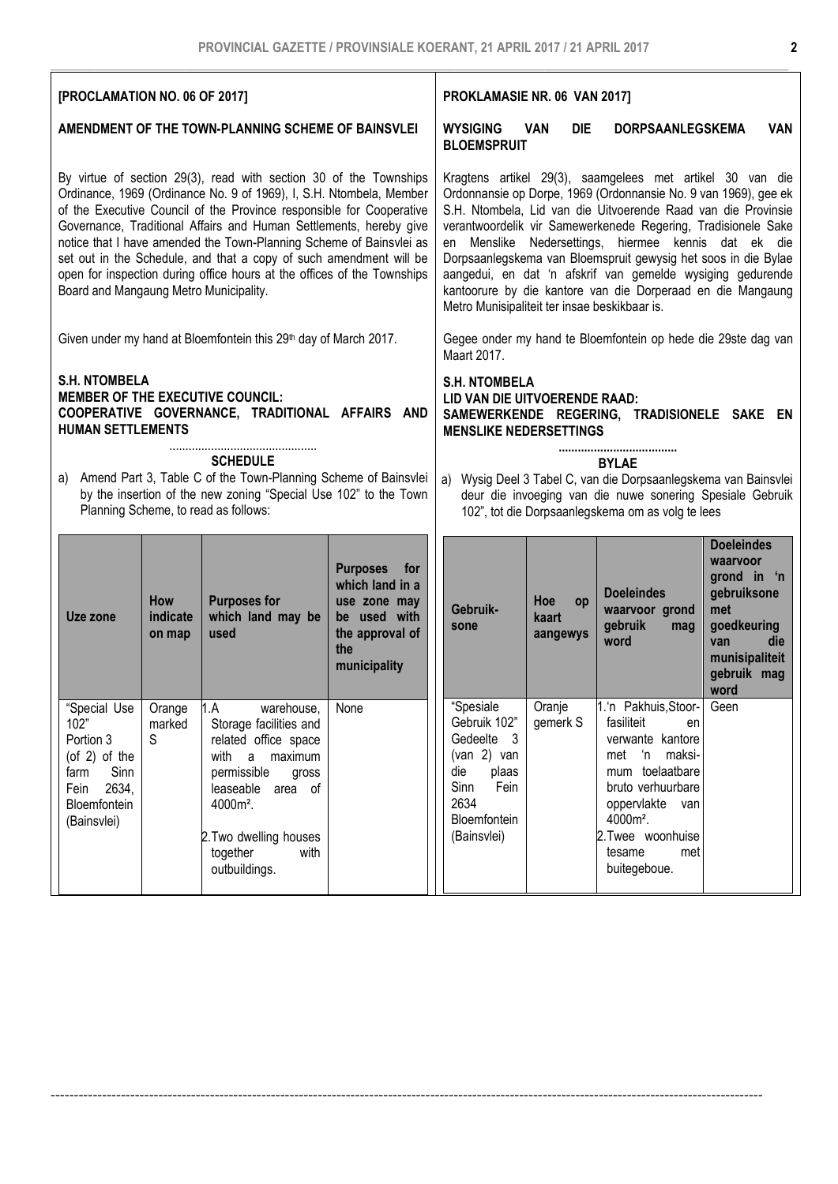| [PROCLAMATION NO. 06 OF 2017]                                                                                                                                                                                                                                                                                                                                                                                                                                                                                                                            |                                                                              |                                                                                                                                                                                                                                 |                                                                                                                                                                                                      | PROKLAMASIE NR. 06 VAN 2017]                                                                                                                                                                                                                                                                                                                                                                                                                                                                                                                                              |                                                                                                                               |                                       |                                                                                                                                                                                                                          |                                                                                                                                   |     |
|----------------------------------------------------------------------------------------------------------------------------------------------------------------------------------------------------------------------------------------------------------------------------------------------------------------------------------------------------------------------------------------------------------------------------------------------------------------------------------------------------------------------------------------------------------|------------------------------------------------------------------------------|---------------------------------------------------------------------------------------------------------------------------------------------------------------------------------------------------------------------------------|------------------------------------------------------------------------------------------------------------------------------------------------------------------------------------------------------|---------------------------------------------------------------------------------------------------------------------------------------------------------------------------------------------------------------------------------------------------------------------------------------------------------------------------------------------------------------------------------------------------------------------------------------------------------------------------------------------------------------------------------------------------------------------------|-------------------------------------------------------------------------------------------------------------------------------|---------------------------------------|--------------------------------------------------------------------------------------------------------------------------------------------------------------------------------------------------------------------------|-----------------------------------------------------------------------------------------------------------------------------------|-----|
|                                                                                                                                                                                                                                                                                                                                                                                                                                                                                                                                                          | AMENDMENT OF THE TOWN-PLANNING SCHEME OF BAINSVLEI                           |                                                                                                                                                                                                                                 |                                                                                                                                                                                                      |                                                                                                                                                                                                                                                                                                                                                                                                                                                                                                                                                                           | <b>WYSIGING</b><br><b>VAN</b><br><b>DIE</b><br><b>DORPSAANLEGSKEMA</b><br><b>VAN</b><br><b>BLOEMSPRUIT</b>                    |                                       |                                                                                                                                                                                                                          |                                                                                                                                   |     |
| By virtue of section 29(3), read with section 30 of the Townships<br>Ordinance, 1969 (Ordinance No. 9 of 1969), I, S.H. Ntombela, Member<br>of the Executive Council of the Province responsible for Cooperative<br>Governance, Traditional Affairs and Human Settlements, hereby give<br>notice that I have amended the Town-Planning Scheme of Bainsvlei as<br>set out in the Schedule, and that a copy of such amendment will be<br>open for inspection during office hours at the offices of the Townships<br>Board and Mangaung Metro Municipality. |                                                                              |                                                                                                                                                                                                                                 |                                                                                                                                                                                                      | Kragtens artikel 29(3), saamgelees met artikel 30 van die<br>Ordonnansie op Dorpe, 1969 (Ordonnansie No. 9 van 1969), gee ek<br>S.H. Ntombela, Lid van die Uitvoerende Raad van die Provinsie<br>verantwoordelik vir Samewerkenede Regering, Tradisionele Sake<br>Menslike Nedersettings, hiermee kennis dat ek die<br>en<br>Dorpsaanlegskema van Bloemspruit gewysig het soos in die Bylae<br>aangedui, en dat 'n afskrif van gemelde wysiging gedurende<br>kantoorure by die kantore van die Dorperaad en die Mangaung<br>Metro Munisipaliteit ter insae beskikbaar is. |                                                                                                                               |                                       |                                                                                                                                                                                                                          |                                                                                                                                   |     |
|                                                                                                                                                                                                                                                                                                                                                                                                                                                                                                                                                          | Given under my hand at Bloemfontein this 29 <sup>th</sup> day of March 2017. |                                                                                                                                                                                                                                 |                                                                                                                                                                                                      |                                                                                                                                                                                                                                                                                                                                                                                                                                                                                                                                                                           | Maart 2017.                                                                                                                   |                                       | Gegee onder my hand te Bloemfontein op hede die 29ste dag van                                                                                                                                                            |                                                                                                                                   |     |
| <b>S.H. NTOMBELA</b><br><b>MEMBER OF THE EXECUTIVE COUNCIL:</b><br>COOPERATIVE GOVERNANCE, TRADITIONAL AFFAIRS AND<br><b>HUMAN SETTLEMENTS</b>                                                                                                                                                                                                                                                                                                                                                                                                           |                                                                              |                                                                                                                                                                                                                                 |                                                                                                                                                                                                      | <b>S.H. NTOMBELA</b><br>LID VAN DIE UITVOERENDE RAAD:<br>SAMEWERKENDE REGERING, TRADISIONELE SAKE EN<br><b>MENSLIKE NEDERSETTINGS</b>                                                                                                                                                                                                                                                                                                                                                                                                                                     |                                                                                                                               |                                       |                                                                                                                                                                                                                          |                                                                                                                                   |     |
| <b>SCHEDULE</b><br>Amend Part 3, Table C of the Town-Planning Scheme of Bainsvlei<br>a)<br>by the insertion of the new zoning "Special Use 102" to the Town<br>Planning Scheme, to read as follows:                                                                                                                                                                                                                                                                                                                                                      |                                                                              |                                                                                                                                                                                                                                 | <b>BYLAE</b><br>Wysig Deel 3 Tabel C, van die Dorpsaanlegskema van Bainsvlei<br>a)<br>deur die invoeging van die nuwe sonering Spesiale Gebruik<br>102", tot die Dorpsaanlegskema om as volg te lees |                                                                                                                                                                                                                                                                                                                                                                                                                                                                                                                                                                           |                                                                                                                               |                                       |                                                                                                                                                                                                                          |                                                                                                                                   |     |
| Uze zone                                                                                                                                                                                                                                                                                                                                                                                                                                                                                                                                                 | How<br>indicate<br>on map                                                    | <b>Purposes for</b><br>which land may be<br>used                                                                                                                                                                                | <b>Purposes</b><br>for<br>which land in a<br>use zone may<br>be used with<br>the approval of<br>the<br>municipality                                                                                  |                                                                                                                                                                                                                                                                                                                                                                                                                                                                                                                                                                           | Gebruik-<br>sone                                                                                                              | <b>Hoe</b><br>op<br>kaart<br>aangewys | <b>Doeleindes</b><br>waarvoor grond<br>gebruik<br>mag<br>word                                                                                                                                                            | <b>Doeleindes</b><br>waarvoor<br>grond in 'n<br>gebruiksone<br>met<br>goedkeuring<br>van<br>munisipaliteit<br>gebruik mag<br>word | die |
| 'Special Use<br>102"<br>Portion 3<br>(of $2$ ) of the<br>Sinn<br>farm<br>2634,<br>Fein<br>Bloemfontein<br>(Bainsvlei)                                                                                                                                                                                                                                                                                                                                                                                                                                    | Orange<br>marked<br>S                                                        | 1.A<br>warehouse,<br>Storage facilities and<br>related office space<br>with<br>a<br>maximum<br>permissible<br>gross<br>leaseable area of<br>4000m <sup>2</sup> .<br>2. Two dwelling houses<br>together<br>with<br>outbuildings. | None                                                                                                                                                                                                 |                                                                                                                                                                                                                                                                                                                                                                                                                                                                                                                                                                           | "Spesiale<br>Gebruik 102"<br>Gedeelte 3<br>(van 2) van<br>die<br>plaas<br>Sinn<br>Fein<br>2634<br>Bloemfontein<br>(Bainsvlei) | Oranje<br>gemerk S                    | 1.'n Pakhuis, Stoor-<br>fasiliteit<br>en<br>verwante kantore<br>'n maksi-<br>met<br>mum toelaatbare<br>bruto verhuurbare<br>oppervlakte van<br>4000m <sup>2</sup> .<br>2.Twee woonhuise<br>tesame<br>met<br>buitegeboue. | Geen                                                                                                                              |     |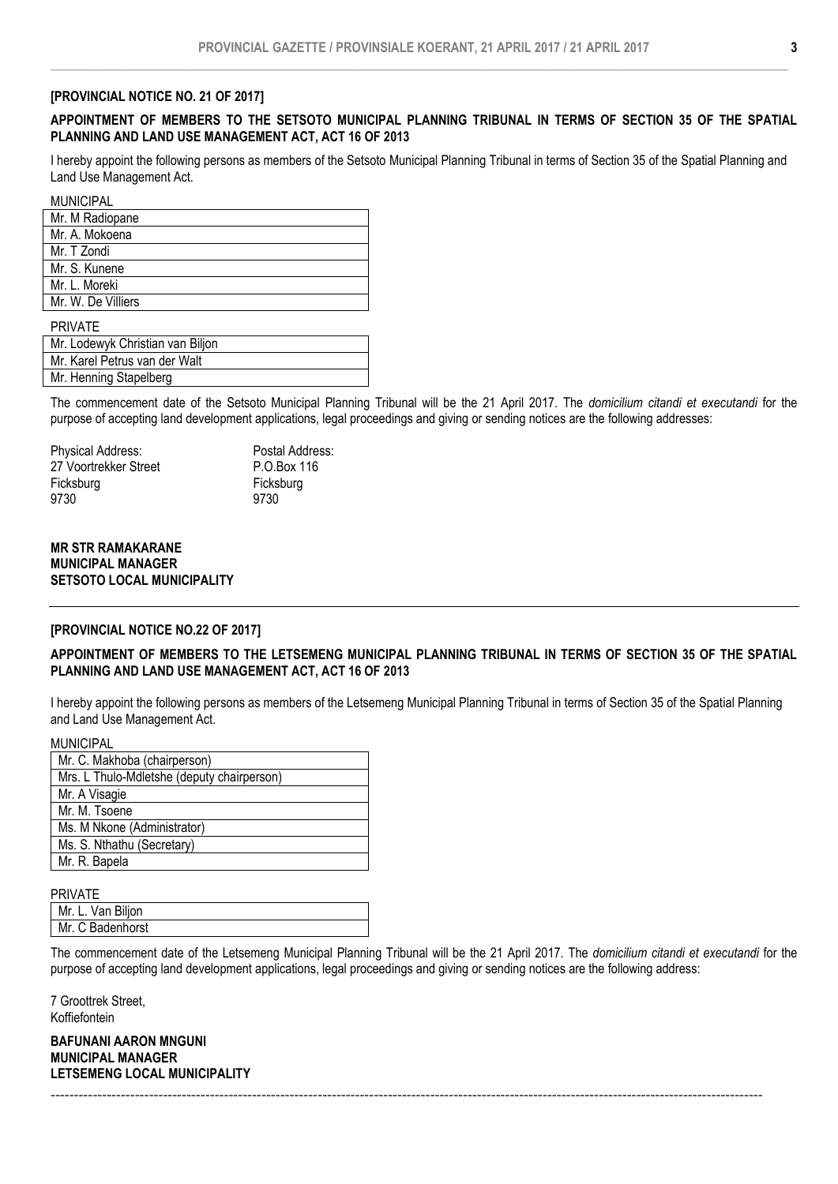#### [PROVINCIAL NOTICE NO. 21 OF 2017]

# APPOINTMENT OF MEMBERS TO THE SETSOTO MUNICIPAL PLANNING TRIBUNAL IN TERMS OF SECTION 35 OF THE SPATIAL PLANNING AND LAND USE MANAGEMENT ACT, ACT 16 OF 2013

I hereby appoint the following persons as members of the Setsoto Municipal Planning Tribunal in terms of Section 35 of the Spatial Planning and Land Use Management Act.

**MUNICIPAL** 

| את ווטוזיוטוזי     |
|--------------------|
| Mr. M Radiopane    |
| Mr. A. Mokoena     |
| Mr. T Zondi        |
| Mr. S. Kunene      |
| Mr. L. Moreki      |
| Mr. W. De Villiers |

PRIVATE

| Mr. Lodewyk Christian van Biljon |  |
|----------------------------------|--|
| Mr. Karel Petrus van der Walt    |  |
| Mr. Henning Stapelberg           |  |

The commencement date of the Setsoto Municipal Planning Tribunal will be the 21 April 2017. The *domicilium citandi et executandi* for the purpose of accepting land development applications, legal proceedings and giving or sending notices are the following addresses:

Physical Address: Postal Address: 27 Voortrekker Street P.O.Box 116 Ficksburg Ficksburg 9730 9730

# MR STR RAMAKARANE MUNICIPAL MANAGER SETSOTO LOCAL MUNICIPALITY

#### [PROVINCIAL NOTICE NO.22 OF 2017]

# APPOINTMENT OF MEMBERS TO THE LETSEMENG MUNICIPAL PLANNING TRIBUNAL IN TERMS OF SECTION 35 OF THE SPATIAL PLANNING AND LAND USE MANAGEMENT ACT, ACT 16 OF 2013

I hereby appoint the following persons as members of the Letsemeng Municipal Planning Tribunal in terms of Section 35 of the Spatial Planning and Land Use Management Act.

| MUNICIPAL                                  |
|--------------------------------------------|
| Mr. C. Makhoba (chairperson)               |
| Mrs. L Thulo-Mdletshe (deputy chairperson) |
| Mr. A Visagie                              |
| Mr. M. Tsoene                              |
| Ms. M Nkone (Administrator)                |
| Ms. S. Nthathu (Secretary)                 |
| Mr. R. Bapela                              |
|                                            |

#### PRIVATE

MUNICIPAL

| . <b>.</b>        |
|-------------------|
| Mr. L. Van Biljon |
| Mr. C Badenhorst  |
|                   |

The commencement date of the Letsemeng Municipal Planning Tribunal will be the 21 April 2017. The *domicilium citandi et executandi* for the purpose of accepting land development applications, legal proceedings and giving or sending notices are the following address:

--------------------------------------------------------------------------------------------------------------------------------------------------------

7 Groottrek Street, Koffiefontein

BAFUNANI AARON MNGUNI MUNICIPAL MANAGER LETSEMENG LOCAL MUNICIPALITY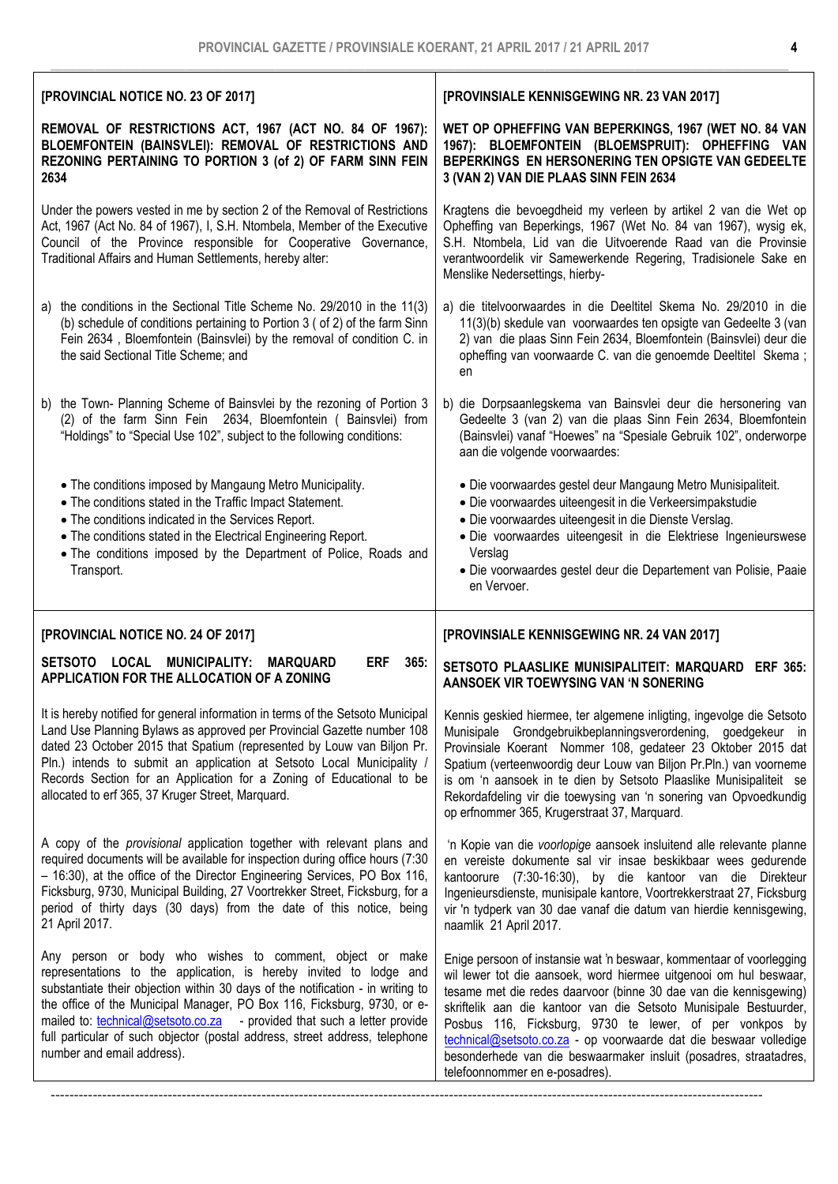| [PROVINCIAL NOTICE NO. 23 OF 2017]                                                                                                                                                                                                                                                                                                                                                                                                                                                        | [PROVINSIALE KENNISGEWING NR. 23 VAN 2017]                                                                                                                                                                                                                                                                                                                                                                                                                                                                                 |  |  |  |
|-------------------------------------------------------------------------------------------------------------------------------------------------------------------------------------------------------------------------------------------------------------------------------------------------------------------------------------------------------------------------------------------------------------------------------------------------------------------------------------------|----------------------------------------------------------------------------------------------------------------------------------------------------------------------------------------------------------------------------------------------------------------------------------------------------------------------------------------------------------------------------------------------------------------------------------------------------------------------------------------------------------------------------|--|--|--|
| REMOVAL OF RESTRICTIONS ACT, 1967 (ACT NO. 84 OF 1967):<br>BLOEMFONTEIN (BAINSVLEI): REMOVAL OF RESTRICTIONS AND<br>REZONING PERTAINING TO PORTION 3 (of 2) OF FARM SINN FEIN<br>2634                                                                                                                                                                                                                                                                                                     | WET OP OPHEFFING VAN BEPERKINGS, 1967 (WET NO. 84 VAN<br>1967): BLOEMFONTEIN (BLOEMSPRUIT): OPHEFFING VAN<br>BEPERKINGS EN HERSONERING TEN OPSIGTE VAN GEDEELTE<br>3 (VAN 2) VAN DIE PLAAS SINN FEIN 2634                                                                                                                                                                                                                                                                                                                  |  |  |  |
| Under the powers vested in me by section 2 of the Removal of Restrictions<br>Act, 1967 (Act No. 84 of 1967), I, S.H. Ntombela, Member of the Executive<br>Council of the Province responsible for Cooperative Governance,<br>Traditional Affairs and Human Settlements, hereby alter:                                                                                                                                                                                                     | Kragtens die bevoegdheid my verleen by artikel 2 van die Wet op<br>Opheffing van Beperkings, 1967 (Wet No. 84 van 1967), wysig ek,<br>S.H. Ntombela, Lid van die Uitvoerende Raad van die Provinsie<br>verantwoordelik vir Samewerkende Regering, Tradisionele Sake en<br>Menslike Nedersettings, hierby-                                                                                                                                                                                                                  |  |  |  |
| the conditions in the Sectional Title Scheme No. 29/2010 in the 11(3)<br>a)<br>(b) schedule of conditions pertaining to Portion 3 ( of 2) of the farm Sinn<br>Fein 2634, Bloemfontein (Bainsvlei) by the removal of condition C. in<br>the said Sectional Title Scheme; and                                                                                                                                                                                                               | a) die titelvoorwaardes in die Deeltitel Skema No. 29/2010 in die<br>11(3)(b) skedule van voorwaardes ten opsigte van Gedeelte 3 (van<br>2) van die plaas Sinn Fein 2634, Bloemfontein (Bainsvlei) deur die<br>opheffing van voorwaarde C. van die genoemde Deeltitel Skema;<br>en                                                                                                                                                                                                                                         |  |  |  |
| the Town- Planning Scheme of Bainsvlei by the rezoning of Portion 3<br>b)<br>(2) of the farm Sinn Fein 2634, Bloemfontein ( Bainsvlei) from<br>"Holdings" to "Special Use 102", subject to the following conditions:                                                                                                                                                                                                                                                                      | b) die Dorpsaanlegskema van Bainsvlei deur die hersonering van<br>Gedeelte 3 (van 2) van die plaas Sinn Fein 2634, Bloemfontein<br>(Bainsvlei) vanaf "Hoewes" na "Spesiale Gebruik 102", onderworpe<br>aan die volgende voorwaardes:                                                                                                                                                                                                                                                                                       |  |  |  |
| • The conditions imposed by Mangaung Metro Municipality.<br>• The conditions stated in the Traffic Impact Statement.<br>• The conditions indicated in the Services Report.<br>• The conditions stated in the Electrical Engineering Report.<br>. The conditions imposed by the Department of Police, Roads and<br>Transport.                                                                                                                                                              | • Die voorwaardes gestel deur Mangaung Metro Munisipaliteit.<br>· Die voorwaardes uiteengesit in die Verkeersimpakstudie<br>• Die voorwaardes uiteengesit in die Dienste Verslag.<br>· Die voorwaardes uiteengesit in die Elektriese Ingenieurswese<br>Verslag<br>· Die voorwaardes gestel deur die Departement van Polisie, Paaie<br>en Vervoer.                                                                                                                                                                          |  |  |  |
| [PROVINCIAL NOTICE NO. 24 OF 2017]                                                                                                                                                                                                                                                                                                                                                                                                                                                        | [PROVINSIALE KENNISGEWING NR. 24 VAN 2017]                                                                                                                                                                                                                                                                                                                                                                                                                                                                                 |  |  |  |
| LOCAL<br><b>MUNICIPALITY:</b><br><b>ERF</b><br><b>SETSOTO</b><br><b>MARQUARD</b><br>365:<br>APPLICATION FOR THE ALLOCATION OF A ZONING                                                                                                                                                                                                                                                                                                                                                    | SETSOTO PLAASLIKE MUNISIPALITEIT: MARQUARD ERF 365:<br>AANSOEK VIR TOEWYSING VAN 'N SONERING                                                                                                                                                                                                                                                                                                                                                                                                                               |  |  |  |
| It is hereby notified for general information in terms of the Setsoto Municipal<br>Land Use Planning Bylaws as approved per Provincial Gazette number 108<br>dated 23 October 2015 that Spatium (represented by Louw van Biljon Pr.<br>Pln.) intends to submit an application at Setsoto Local Municipality /<br>Records Section for an Application for a Zoning of Educational to be<br>allocated to erf 365, 37 Kruger Street, Marquard.                                                | Kennis geskied hiermee, ter algemene inligting, ingevolge die Setsoto<br>Munisipale Grondgebruikbeplanningsverordening, goedgekeur in<br>Provinsiale Koerant Nommer 108, gedateer 23 Oktober 2015 dat<br>Spatium (verteenwoordig deur Louw van Biljon Pr.Pln.) van voorneme<br>is om 'n aansoek in te dien by Setsoto Plaaslike Munisipaliteit se<br>Rekordafdeling vir die toewysing van 'n sonering van Opvoedkundig<br>op erfnommer 365, Krugerstraat 37, Marquard.                                                     |  |  |  |
| A copy of the <i>provisional</i> application together with relevant plans and<br>required documents will be available for inspection during office hours (7:30<br>- 16:30), at the office of the Director Engineering Services, PO Box 116,<br>Ficksburg, 9730, Municipal Building, 27 Voortrekker Street, Ficksburg, for a<br>period of thirty days (30 days) from the date of this notice, being<br>21 April 2017.                                                                      | 'n Kopie van die voorlopige aansoek insluitend alle relevante planne<br>en vereiste dokumente sal vir insae beskikbaar wees gedurende<br>kantoorure (7:30-16:30), by die kantoor van die Direkteur<br>Ingenieursdienste, munisipale kantore, Voortrekkerstraat 27, Ficksburg<br>vir 'n tydperk van 30 dae vanaf die datum van hierdie kennisgewing,<br>naamlik 21 April 2017.                                                                                                                                              |  |  |  |
| Any person or body who wishes to comment, object or make<br>representations to the application, is hereby invited to lodge and<br>substantiate their objection within 30 days of the notification - in writing to<br>the office of the Municipal Manager, PO Box 116, Ficksburg, 9730, or e-<br>mailed to: the technical@setsoto.co.za - provided that such a letter provide<br>full particular of such objector (postal address, street address, telephone<br>number and email address). | Enige persoon of instansie wat 'n beswaar, kommentaar of voorlegging<br>wil lewer tot die aansoek, word hiermee uitgenooi om hul beswaar,<br>tesame met die redes daarvoor (binne 30 dae van die kennisgewing)<br>skriftelik aan die kantoor van die Setsoto Munisipale Bestuurder,<br>Posbus 116, Ficksburg, 9730 te lewer, of per vonkpos by<br>technical@setsoto.co.za - op voorwaarde dat die beswaar volledige<br>besonderhede van die beswaarmaker insluit (posadres, straatadres,<br>telefoonnommer en e-posadres). |  |  |  |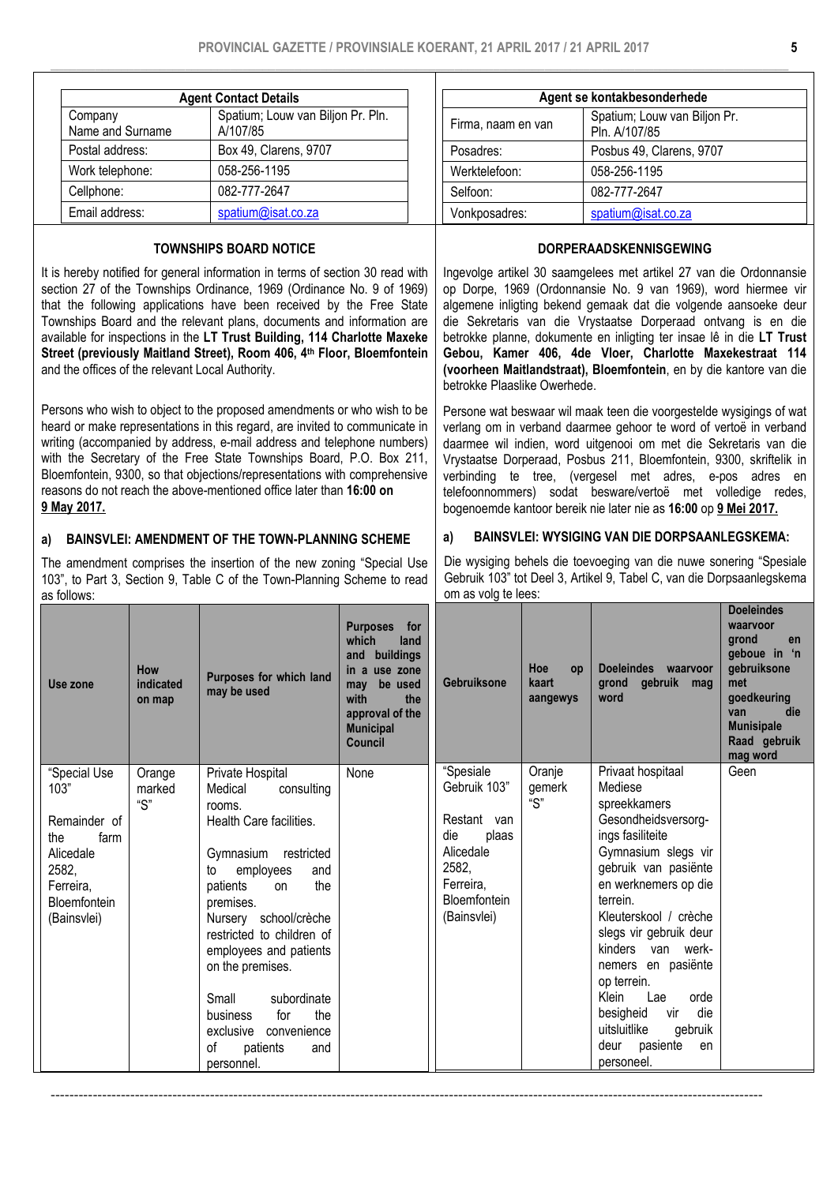|                             | <b>Agent Contact Details</b> |                                   |  |  |  |  |  |
|-----------------------------|------------------------------|-----------------------------------|--|--|--|--|--|
| Company<br>Name and Surname |                              | Spatium; Louw van Biljon Pr. Pln. |  |  |  |  |  |
|                             |                              | A/107/85                          |  |  |  |  |  |
| Postal address:             |                              | Box 49, Clarens, 9707             |  |  |  |  |  |
| Work telephone:             |                              | 058-256-1195                      |  |  |  |  |  |
|                             | Cellphone:                   | 082-777-2647                      |  |  |  |  |  |
|                             | Email address:               | spatium@isat.co.za                |  |  |  |  |  |

# TOWNSHIPS BOARD NOTICE

It is hereby notified for general information in terms of section 30 read with section 27 of the Townships Ordinance, 1969 (Ordinance No. 9 of 1969) that the following applications have been received by the Free State Townships Board and the relevant plans, documents and information are available for inspections in the LT Trust Building, 114 Charlotte Maxeke Street (previously Maitland Street), Room 406, 4<sup>th</sup> Floor, Bloemfontein and the offices of the relevant Local Authority.

Persons who wish to object to the proposed amendments or who wish to be heard or make representations in this regard, are invited to communicate in writing (accompanied by address, e-mail address and telephone numbers) with the Secretary of the Free State Townships Board, P.O. Box 211. Bloemfontein, 9300, so that objections/representations with comprehensive reasons do not reach the above-mentioned office later than 16:00 on 9 May 2017.

# a) BAINSVLEI: AMENDMENT OF THE TOWN-PLANNING SCHEME

The amendment comprises the insertion of the new zoning "Special Use 103", to Part 3, Section 9, Table C of the Town-Planning Scheme to read as follows:

| Agent se kontakbesonderhede |                                               |  |  |  |
|-----------------------------|-----------------------------------------------|--|--|--|
| Firma, naam en van          | Spatium; Louw van Biljon Pr.<br>Pln. A/107/85 |  |  |  |
| Posadres:                   | Posbus 49, Clarens, 9707                      |  |  |  |
| Werktelefoon:               | 058-256-1195                                  |  |  |  |
| Selfoon:                    | 082-777-2647                                  |  |  |  |
| Vonkposadres:               | spatium@isat.co.za                            |  |  |  |

# DORPERAADSKENNISGEWING

Ingevolge artikel 30 saamgelees met artikel 27 van die Ordonnansie op Dorpe, 1969 (Ordonnansie No. 9 van 1969), word hiermee vir algemene inligting bekend gemaak dat die volgende aansoeke deur die Sekretaris van die Vrystaatse Dorperaad ontvang is en die betrokke planne, dokumente en inligting ter insae lê in die LT Trust Gebou, Kamer 406, 4de Vloer, Charlotte Maxekestraat 114 (voorheen Maitlandstraat), Bloemfontein, en by die kantore van die betrokke Plaaslike Owerhede.

Persone wat beswaar wil maak teen die voorgestelde wysigings of wat verlang om in verband daarmee gehoor te word of vertoë in verband daarmee wil indien, word uitgenooi om met die Sekretaris van die Vrystaatse Dorperaad, Posbus 211, Bloemfontein, 9300, skriftelik in verbinding te tree, (vergesel met adres, e-pos adres en telefoonnommers) sodat besware/vertoë met volledige redes, bogenoemde kantoor bereik nie later nie as 16:00 op 9 Mei 2017.

# a) BAINSVLEI: WYSIGING VAN DIE DORPSAANLEGSKEMA:

Die wysiging behels die toevoeging van die nuwe sonering "Spesiale Gebruik 103" tot Deel 3, Artikel 9, Tabel C, van die Dorpsaanlegskema om as volg te lees:

| Use zone             | <b>How</b><br>indicated<br>on map | Purposes for which land<br>may be used             | <b>Purposes</b><br>for<br>land<br>which<br>buildings<br>and<br>in a use zone<br>be used<br>may<br>with<br>the<br>approval of the<br><b>Municipal</b><br><b>Council</b> | Gebruiksone               | Hoe<br>op<br>kaart<br>aangewys | <b>Doeleindes</b><br>waarvoor<br>gebruik mag<br>arond<br>word | <b>Doeleindes</b><br>waarvoor<br>grond<br>en<br>geboue in 'n<br>gebruiksone<br>met<br>goedkeuring<br>die<br>van<br><b>Munisipale</b><br>Raad gebruik<br>mag word |
|----------------------|-----------------------------------|----------------------------------------------------|------------------------------------------------------------------------------------------------------------------------------------------------------------------------|---------------------------|--------------------------------|---------------------------------------------------------------|------------------------------------------------------------------------------------------------------------------------------------------------------------------|
| "Special Use<br>103" | Orange<br>marked                  | Private Hospital<br>consulting<br>Medical          | None                                                                                                                                                                   | "Spesiale<br>Gebruik 103" | Oranje<br>gemerk               | Privaat hospitaal<br>Mediese                                  | Geen                                                                                                                                                             |
|                      | $\mathrm{``S''}$                  | rooms.                                             |                                                                                                                                                                        |                           | $\mathrm{``S''}$               | spreekkamers                                                  |                                                                                                                                                                  |
| Remainder of         |                                   | Health Care facilities.                            |                                                                                                                                                                        | Restant van               |                                | Gesondheidsversorg-                                           |                                                                                                                                                                  |
| farm<br>the          |                                   |                                                    |                                                                                                                                                                        | die<br>plaas              |                                | ings fasiliteite                                              |                                                                                                                                                                  |
| Alicedale            |                                   | Gymnasium<br>restricted                            |                                                                                                                                                                        | Alicedale                 |                                | Gymnasium slegs vir                                           |                                                                                                                                                                  |
| 2582,                |                                   | employees<br>to<br>and                             |                                                                                                                                                                        | 2582.                     |                                | gebruik van pasiënte                                          |                                                                                                                                                                  |
| Ferreira,            |                                   | the<br>patients<br>on                              |                                                                                                                                                                        | Ferreira.                 |                                | en werknemers op die                                          |                                                                                                                                                                  |
| Bloemfontein         |                                   | premises.                                          |                                                                                                                                                                        | Bloemfontein              |                                | terrein.<br>Kleuterskool / crèche                             |                                                                                                                                                                  |
| (Bainsvlei)          |                                   | Nursery school/crèche<br>restricted to children of |                                                                                                                                                                        | (Bainsvlei)               |                                | slegs vir gebruik deur                                        |                                                                                                                                                                  |
|                      |                                   | employees and patients                             |                                                                                                                                                                        |                           |                                | kinders<br>van werk-                                          |                                                                                                                                                                  |
|                      |                                   | on the premises.                                   |                                                                                                                                                                        |                           |                                | nemers en pasiënte                                            |                                                                                                                                                                  |
|                      |                                   |                                                    |                                                                                                                                                                        |                           |                                | op terrein.                                                   |                                                                                                                                                                  |
|                      |                                   | Small<br>subordinate                               |                                                                                                                                                                        |                           |                                | Klein<br>Lae<br>orde                                          |                                                                                                                                                                  |
|                      |                                   | the<br>for<br>business                             |                                                                                                                                                                        |                           |                                | die<br>besigheid<br>vir                                       |                                                                                                                                                                  |
|                      |                                   | exclusive<br>convenience                           |                                                                                                                                                                        |                           |                                | uitsluitlike<br>gebruik                                       |                                                                                                                                                                  |
|                      |                                   | 0f<br>patients<br>and                              |                                                                                                                                                                        |                           |                                | pasiente<br>deur<br>en                                        |                                                                                                                                                                  |
|                      |                                   | personnel.                                         |                                                                                                                                                                        |                           |                                | personeel.                                                    |                                                                                                                                                                  |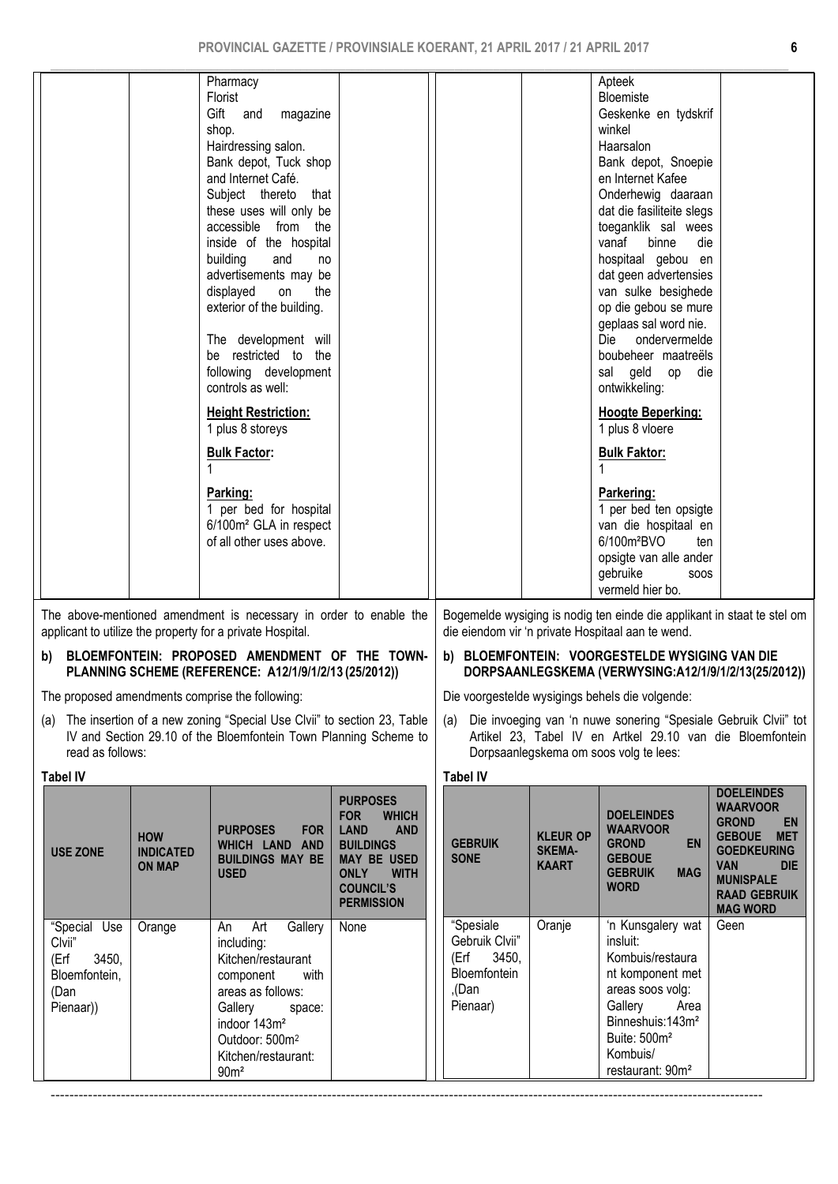| Pharmacy<br>Florist<br>Gift and<br>magazine<br>shop.<br>Hairdressing salon.<br>Bank depot, Tuck shop<br>and Internet Café.<br>Subject thereto<br>that<br>these uses will only be<br>accessible from the<br>inside of the hospital<br>building<br>and<br><sub>no</sub><br>advertisements may be<br>displayed<br>on<br>the<br>exterior of the building.<br>The development will<br>be restricted to the<br>following development<br>controls as well:<br><b>Height Restriction:</b><br>1 plus 8 storeys<br><b>Bulk Factor:</b><br>Parking:<br>1 per bed for hospital<br>6/100m <sup>2</sup> GLA in respect<br>of all other uses above. | Apteek<br>Bloemiste<br>Geskenke en tydskrif<br>winkel<br>Haarsalon<br>Bank depot, Snoepie<br>en Internet Kafee<br>Onderhewig daaraan<br>dat die fasiliteite slegs<br>toeganklik sal wees<br>vanaf<br>binne<br>die<br>hospitaal gebou en<br>dat geen advertensies<br>van sulke besighede<br>op die gebou se mure<br>geplaas sal word nie.<br>Die<br>ondervermelde<br>boubeheer maatreëls<br>sal geld op<br>die<br>ontwikkeling:<br><b>Hoogte Beperking:</b><br>1 plus 8 vloere<br><b>Bulk Faktor:</b><br>Parkering:<br>1 per bed ten opsigte<br>van die hospitaal en<br>6/100m <sup>2</sup> BVO<br>ten<br>opsigte van alle ander<br>gebruike<br><b>SOOS</b><br>vermeld hier bo. |
|--------------------------------------------------------------------------------------------------------------------------------------------------------------------------------------------------------------------------------------------------------------------------------------------------------------------------------------------------------------------------------------------------------------------------------------------------------------------------------------------------------------------------------------------------------------------------------------------------------------------------------------|--------------------------------------------------------------------------------------------------------------------------------------------------------------------------------------------------------------------------------------------------------------------------------------------------------------------------------------------------------------------------------------------------------------------------------------------------------------------------------------------------------------------------------------------------------------------------------------------------------------------------------------------------------------------------------|
| The chave mentioned amondment is necessary in ender to enable the                                                                                                                                                                                                                                                                                                                                                                                                                                                                                                                                                                    | Degenealde ungiging is nodig top sinds die opplikant in staat to at                                                                                                                                                                                                                                                                                                                                                                                                                                                                                                                                                                                                            |

The above-mentioned amendment is necessary in order to enable the applicant to utilize the property for a private Hospital.

# b) BLOEMFONTEIN: PROPOSED AMENDMENT OF THE TOWN-PLANNING SCHEME (REFERENCE: A12/1/9/1/2/13 (25/2012))

The proposed amendments comprise the following:

(a) The insertion of a new zoning "Special Use Clvii" to section 23, Table IV and Section 29.10 of the Bloemfontein Town Planning Scheme to read as follows:

| i abel IV |  |
|-----------|--|
|           |  |

| Tabel IV                                                                      |                                                 |                                                                                                                                                                                                                           |                                                                                                                                                                                             | Tabel IV                                                       |
|-------------------------------------------------------------------------------|-------------------------------------------------|---------------------------------------------------------------------------------------------------------------------------------------------------------------------------------------------------------------------------|---------------------------------------------------------------------------------------------------------------------------------------------------------------------------------------------|----------------------------------------------------------------|
| <b>USE ZONE</b>                                                               | <b>HOW</b><br><b>INDICATED</b><br><b>ON MAP</b> | <b>PURPOSES</b><br>FOR  <br>WHICH LAND AND<br><b>BUILDINGS MAY BE</b><br><b>USED</b>                                                                                                                                      | <b>PURPOSES</b><br><b>FOR</b><br><b>WHICH</b><br><b>LAND</b><br><b>AND</b><br><b>BUILDINGS</b><br><b>MAY BE USED</b><br><b>ONLY</b><br><b>WITH</b><br><b>COUNCIL'S</b><br><b>PERMISSION</b> | <b>GEBRU</b><br><b>SONE</b>                                    |
| "Special Use<br>Clvii"<br>3450,<br>(Erf<br>Bloemfontein,<br>(Dan<br>Pienaar)) | Orange                                          | Gallery<br>Art<br>An<br>including:<br>Kitchen/restaurant<br>with<br>component<br>areas as follows:<br>Gallery space:<br>indoor 143m <sup>2</sup><br>Outdoor: 500m <sup>2</sup><br>Kitchen/restaurant:<br>90 <sup>m²</sup> | None                                                                                                                                                                                        | "Spesia<br>Gebruil<br>(Erf<br><b>Bloemf</b><br>,(Dan<br>Pienaa |

Bogemelde wysiging is nodig ten einde die applikant in staat te stel om die eiendom vir 'n private Hospitaal aan te wend.

# b) BLOEMFONTEIN: VOORGESTELDE WYSIGING VAN DIE DORPSAANLEGSKEMA (VERWYSING:A12/1/9/1/2/13(25/2012))

Die voorgestelde wysigings behels die volgende:

(a) Die invoeging van 'n nuwe sonering "Spesiale Gebruik Clvii" tot Artikel 23, Tabel IV en Artkel 29.10 van die Bloemfontein Dorpsaanlegskema om soos volg te lees:

> DOELEINDES WAARVOOR<br>GROND EN **GROND**

# KLEUR OP SKEMA-KAART DOELEINDES WAARVOOR

| <b>GEBRUIK</b><br><b>SONE</b>                                                  | <b>KLEUR OP</b><br><b>SKEMA-</b><br><b>KAART</b> | <b>EN</b><br><b>GROND</b><br><b>GEBOUE</b><br><b>GEBRUIK</b><br><b>MAG</b><br><b>WORD</b>                                                                                                                          | <b>GEBOUE</b><br><b>MET</b><br><b>GOEDKEURING</b><br><b>VAN</b><br><b>DIE</b><br><b>MUNISPALE</b><br><b>RAAD GEBRUIK</b><br><b>MAG WORD</b> |
|--------------------------------------------------------------------------------|--------------------------------------------------|--------------------------------------------------------------------------------------------------------------------------------------------------------------------------------------------------------------------|---------------------------------------------------------------------------------------------------------------------------------------------|
| "Spesiale<br>Gebruik Clvii"<br>(Erf 3450,<br>Bloemfontein<br>,(Dan<br>Pienaar) | Oranje                                           | 'n Kunsgalery wat<br>insluit:<br>Kombuis/restaura<br>nt komponent met<br>areas soos volg:<br>Gallery Area<br>Binneshuis: 143m <sup>2</sup><br>Buite: 500m <sup>2</sup><br>Kombuis/<br>restaurant: 90m <sup>2</sup> | Geen                                                                                                                                        |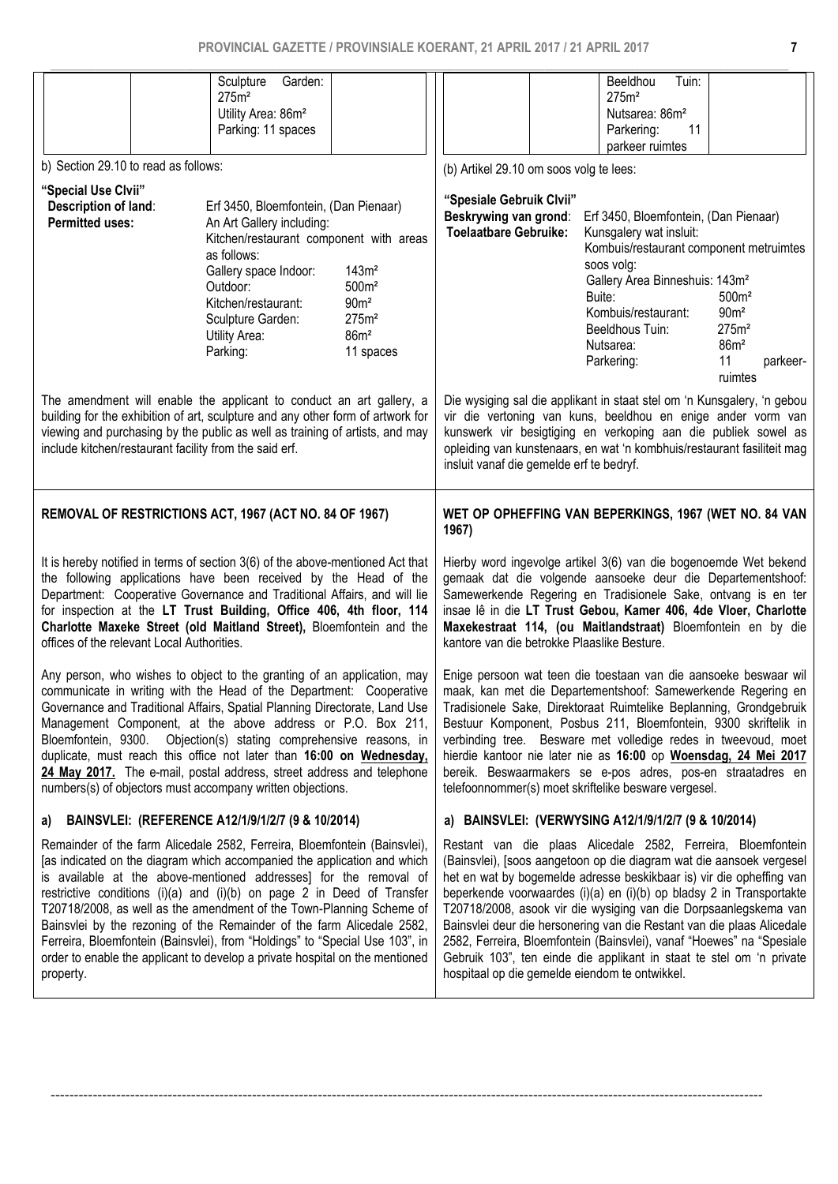|                                                                                                                                                    |  | Sculpture<br>Garden:<br>275m <sup>2</sup>                                                                                                                       |                                        |                                                               | Beeldhou<br>Tuin:<br>275m <sup>2</sup>                                                                                                        |                                       |
|----------------------------------------------------------------------------------------------------------------------------------------------------|--|-----------------------------------------------------------------------------------------------------------------------------------------------------------------|----------------------------------------|---------------------------------------------------------------|-----------------------------------------------------------------------------------------------------------------------------------------------|---------------------------------------|
|                                                                                                                                                    |  | Utility Area: 86m <sup>2</sup>                                                                                                                                  |                                        |                                                               | Nutsarea: 86m <sup>2</sup>                                                                                                                    |                                       |
|                                                                                                                                                    |  | Parking: 11 spaces                                                                                                                                              |                                        |                                                               | Parkering:<br>11                                                                                                                              |                                       |
| b) Section 29.10 to read as follows:                                                                                                               |  |                                                                                                                                                                 |                                        | (b) Artikel 29.10 om soos volg te lees:                       | parkeer ruimtes                                                                                                                               |                                       |
| "Special Use Clvii"                                                                                                                                |  |                                                                                                                                                                 |                                        |                                                               |                                                                                                                                               |                                       |
| Description of land:                                                                                                                               |  | Erf 3450, Bloemfontein, (Dan Pienaar)                                                                                                                           |                                        | "Spesiale Gebruik Clvii"<br>Beskrywing van grond:             | Erf 3450, Bloemfontein, (Dan Pienaar)                                                                                                         |                                       |
| <b>Permitted uses:</b>                                                                                                                             |  | An Art Gallery including:<br>Kitchen/restaurant component with areas                                                                                            |                                        | <b>Toelaatbare Gebruike:</b>                                  | Kunsgalery wat insluit:                                                                                                                       |                                       |
|                                                                                                                                                    |  | as follows:                                                                                                                                                     |                                        |                                                               | Kombuis/restaurant component metruimtes<br>soos volg:                                                                                         |                                       |
|                                                                                                                                                    |  | Gallery space Indoor:<br>Outdoor:                                                                                                                               | 143m <sup>2</sup><br>500m <sup>2</sup> |                                                               | Gallery Area Binneshuis: 143m <sup>2</sup>                                                                                                    |                                       |
|                                                                                                                                                    |  | Kitchen/restaurant:                                                                                                                                             | 90 <sup>m²</sup>                       |                                                               | Buite:<br>Kombuis/restaurant:                                                                                                                 | 500m <sup>2</sup><br>90 <sup>m²</sup> |
|                                                                                                                                                    |  | Sculpture Garden:<br><b>Utility Area:</b>                                                                                                                       | 275m <sup>2</sup><br>86m <sup>2</sup>  |                                                               | Beeldhous Tuin:                                                                                                                               | 275m <sup>2</sup>                     |
|                                                                                                                                                    |  | Parking:                                                                                                                                                        | 11 spaces                              |                                                               | Nutsarea:                                                                                                                                     | 86m <sup>2</sup>                      |
|                                                                                                                                                    |  |                                                                                                                                                                 |                                        |                                                               | Parkering:                                                                                                                                    | 11<br>parkeer-<br>ruimtes             |
|                                                                                                                                                    |  | The amendment will enable the applicant to conduct an art gallery, a                                                                                            |                                        |                                                               | Die wysiging sal die applikant in staat stel om 'n Kunsgalery, 'n gebou                                                                       |                                       |
|                                                                                                                                                    |  | building for the exhibition of art, sculpture and any other form of artwork for<br>viewing and purchasing by the public as well as training of artists, and may |                                        |                                                               | vir die vertoning van kuns, beeldhou en enige ander vorm van<br>kunswerk vir besigtiging en verkoping aan die publiek sowel as                |                                       |
|                                                                                                                                                    |  | include kitchen/restaurant facility from the said erf.                                                                                                          |                                        |                                                               | opleiding van kunstenaars, en wat 'n kombhuis/restaurant fasiliteit mag                                                                       |                                       |
|                                                                                                                                                    |  |                                                                                                                                                                 |                                        | insluit vanaf die gemelde erf te bedryf.                      |                                                                                                                                               |                                       |
|                                                                                                                                                    |  |                                                                                                                                                                 |                                        |                                                               |                                                                                                                                               |                                       |
|                                                                                                                                                    |  | REMOVAL OF RESTRICTIONS ACT, 1967 (ACT NO. 84 OF 1967)                                                                                                          |                                        | 1967)                                                         | WET OP OPHEFFING VAN BEPERKINGS, 1967 (WET NO. 84 VAN                                                                                         |                                       |
|                                                                                                                                                    |  |                                                                                                                                                                 |                                        |                                                               | Hierby word ingevolge artikel 3(6) van die bogenoemde Wet bekend                                                                              |                                       |
| It is hereby notified in terms of section 3(6) of the above-mentioned Act that<br>the following applications have been received by the Head of the |  |                                                                                                                                                                 |                                        |                                                               | gemaak dat die volgende aansoeke deur die Departementshoof:                                                                                   |                                       |
|                                                                                                                                                    |  | Department: Cooperative Governance and Traditional Affairs, and will lie<br>for inspection at the LT Trust Building, Office 406, 4th floor, 114                 |                                        |                                                               |                                                                                                                                               |                                       |
|                                                                                                                                                    |  |                                                                                                                                                                 |                                        | Samewerkende Regering en Tradisionele Sake, ontvang is en ter | insae lê in die LT Trust Gebou, Kamer 406, 4de Vloer, Charlotte                                                                               |                                       |
|                                                                                                                                                    |  | Charlotte Maxeke Street (old Maitland Street), Bloemfontein and the                                                                                             |                                        |                                                               | Maxekestraat 114, (ou Maitlandstraat) Bloemfontein en by die                                                                                  |                                       |
| offices of the relevant Local Authorities.                                                                                                         |  |                                                                                                                                                                 |                                        | kantore van die betrokke Plaaslike Besture.                   |                                                                                                                                               |                                       |
|                                                                                                                                                    |  | Any person, who wishes to object to the granting of an application, may                                                                                         |                                        |                                                               | Enige persoon wat teen die toestaan van die aansoeke beswaar wil                                                                              |                                       |
|                                                                                                                                                    |  | communicate in writing with the Head of the Department: Cooperative<br>Governance and Traditional Affairs, Spatial Planning Directorate, Land Use               |                                        |                                                               | maak, kan met die Departementshoof: Samewerkende Regering en<br>Tradisionele Sake, Direktoraat Ruimtelike Beplanning, Grondgebruik            |                                       |
|                                                                                                                                                    |  | Management Component, at the above address or P.O. Box 211,                                                                                                     |                                        |                                                               | Bestuur Komponent, Posbus 211, Bloemfontein, 9300 skriftelik in                                                                               |                                       |
|                                                                                                                                                    |  | Bloemfontein, 9300. Objection(s) stating comprehensive reasons, in<br>duplicate, must reach this office not later than 16:00 on Wednesday,                      |                                        |                                                               | verbinding tree. Besware met volledige redes in tweevoud, moet<br>hierdie kantoor nie later nie as 16:00 op Woensdag, 24 Mei 2017             |                                       |
|                                                                                                                                                    |  | 24 May 2017. The e-mail, postal address, street address and telephone<br>numbers(s) of objectors must accompany written objections.                             |                                        |                                                               | bereik. Beswaarmakers se e-pos adres, pos-en straatadres en<br>telefoonnommer(s) moet skriftelike besware vergesel.                           |                                       |
| a)                                                                                                                                                 |  | BAINSVLEI: (REFERENCE A12/1/9/1/2/7 (9 & 10/2014)                                                                                                               |                                        |                                                               | a) BAINSVLEI: (VERWYSING A12/1/9/1/2/7 (9 & 10/2014)                                                                                          |                                       |
|                                                                                                                                                    |  | Remainder of the farm Alicedale 2582, Ferreira, Bloemfontein (Bainsvlei),                                                                                       |                                        |                                                               | Restant van die plaas Alicedale 2582, Ferreira, Bloemfontein                                                                                  |                                       |
|                                                                                                                                                    |  | [as indicated on the diagram which accompanied the application and which<br>is available at the above-mentioned addresses] for the removal of                   |                                        |                                                               | (Bainsvlei), [soos aangetoon op die diagram wat die aansoek vergesel<br>het en wat by bogemelde adresse beskikbaar is) vir die opheffing van  |                                       |
|                                                                                                                                                    |  | restrictive conditions (i)(a) and (i)(b) on page 2 in Deed of Transfer                                                                                          |                                        |                                                               | beperkende voorwaardes (i)(a) en (i)(b) op bladsy 2 in Transportakte                                                                          |                                       |
|                                                                                                                                                    |  | T20718/2008, as well as the amendment of the Town-Planning Scheme of<br>Bainsvlei by the rezoning of the Remainder of the farm Alicedale 2582,                  |                                        |                                                               | T20718/2008, asook vir die wysiging van die Dorpsaanlegskema van<br>Bainsvlei deur die hersonering van die Restant van die plaas Alicedale    |                                       |
|                                                                                                                                                    |  | Ferreira, Bloemfontein (Bainsvlei), from "Holdings" to "Special Use 103", in<br>order to enable the applicant to develop a private hospital on the mentioned    |                                        |                                                               | 2582, Ferreira, Bloemfontein (Bainsvlei), vanaf "Hoewes" na "Spesiale<br>Gebruik 103", ten einde die applikant in staat te stel om 'n private |                                       |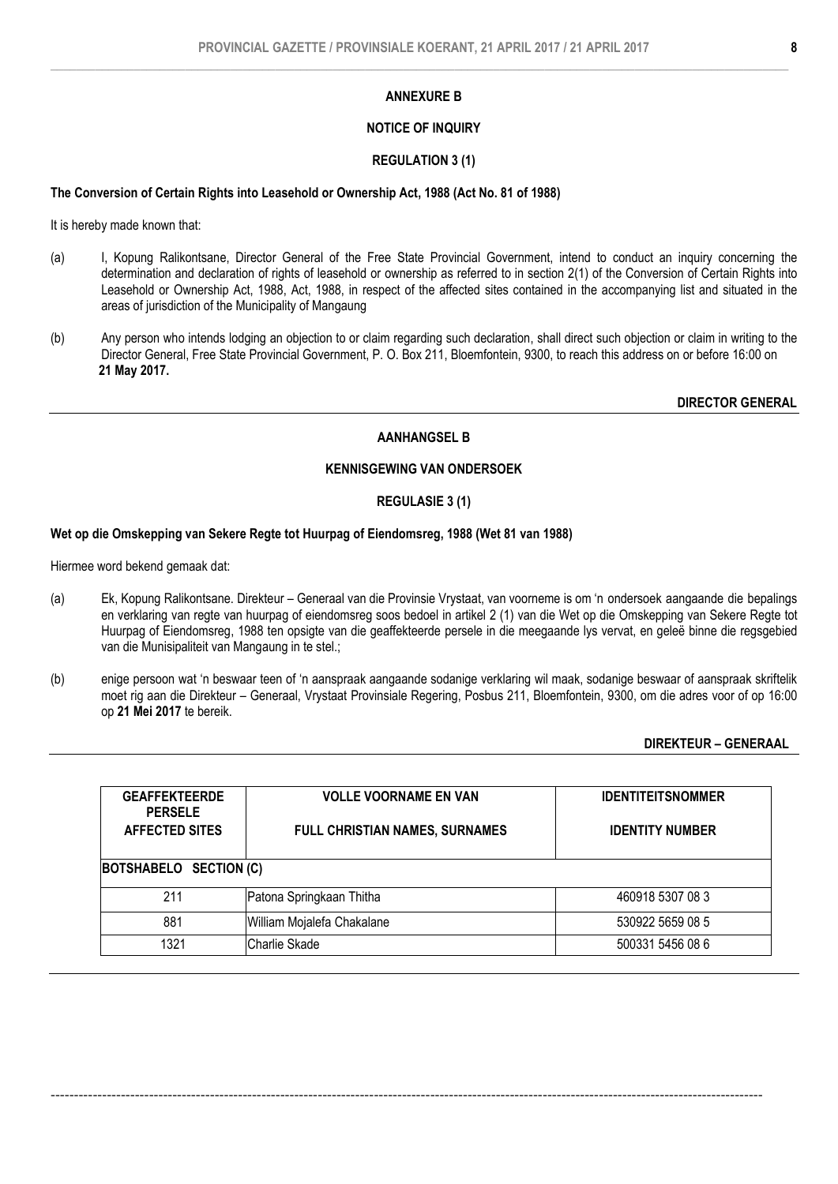# NOTICE OF INQUIRY

### REGULATION 3 (1)

#### The Conversion of Certain Rights into Leasehold or Ownership Act, 1988 (Act No. 81 of 1988)

It is hereby made known that:

- (a) I, Kopung Ralikontsane, Director General of the Free State Provincial Government, intend to conduct an inquiry concerning the determination and declaration of rights of leasehold or ownership as referred to in section 2(1) of the Conversion of Certain Rights into Leasehold or Ownership Act, 1988, Act, 1988, in respect of the affected sites contained in the accompanying list and situated in the areas of jurisdiction of the Municipality of Mangaung
- (b) Any person who intends lodging an objection to or claim regarding such declaration, shall direct such objection or claim in writing to the Director General, Free State Provincial Government, P. O. Box 211, Bloemfontein, 9300, to reach this address on or before 16:00 on 21 May 2017.

DIRECTOR GENERAL

# AANHANGSEL B

# KENNISGEWING VAN ONDERSOEK

# REGULASIE 3 (1)

#### Wet op die Omskepping van Sekere Regte tot Huurpag of Eiendomsreg, 1988 (Wet 81 van 1988)

Hiermee word bekend gemaak dat:

- (a) Ek, Kopung Ralikontsane. Direkteur Generaal van die Provinsie Vrystaat, van voorneme is om 'n ondersoek aangaande die bepalings en verklaring van regte van huurpag of eiendomsreg soos bedoel in artikel 2 (1) van die Wet op die Omskepping van Sekere Regte tot Huurpag of Eiendomsreg, 1988 ten opsigte van die geaffekteerde persele in die meegaande lys vervat, en geleë binne die regsgebied van die Munisipaliteit van Mangaung in te stel.;
- (b) enige persoon wat 'n beswaar teen of 'n aanspraak aangaande sodanige verklaring wil maak, sodanige beswaar of aanspraak skriftelik moet rig aan die Direkteur – Generaal, Vrystaat Provinsiale Regering, Posbus 211, Bloemfontein, 9300, om die adres voor of op 16:00 op 21 Mei 2017 te bereik.

# DIREKTEUR – GENERAAL

| <b>GEAFFEKTEERDE</b><br><b>PERSELE</b><br><b>AFFECTED SITES</b> | <b>VOLLE VOORNAME EN VAN</b><br><b>FULL CHRISTIAN NAMES, SURNAMES</b> | <b>IDENTITEITSNOMMER</b><br><b>IDENTITY NUMBER</b> |
|-----------------------------------------------------------------|-----------------------------------------------------------------------|----------------------------------------------------|
| BOTSHABELO SECTION (C)                                          |                                                                       |                                                    |
| 211                                                             | Patona Springkaan Thitha                                              | 460918 5307 08 3                                   |
| 881                                                             | William Mojalefa Chakalane                                            | 530922 5659 08 5                                   |
| 1321                                                            | Charlie Skade                                                         | 500331 5456 08 6                                   |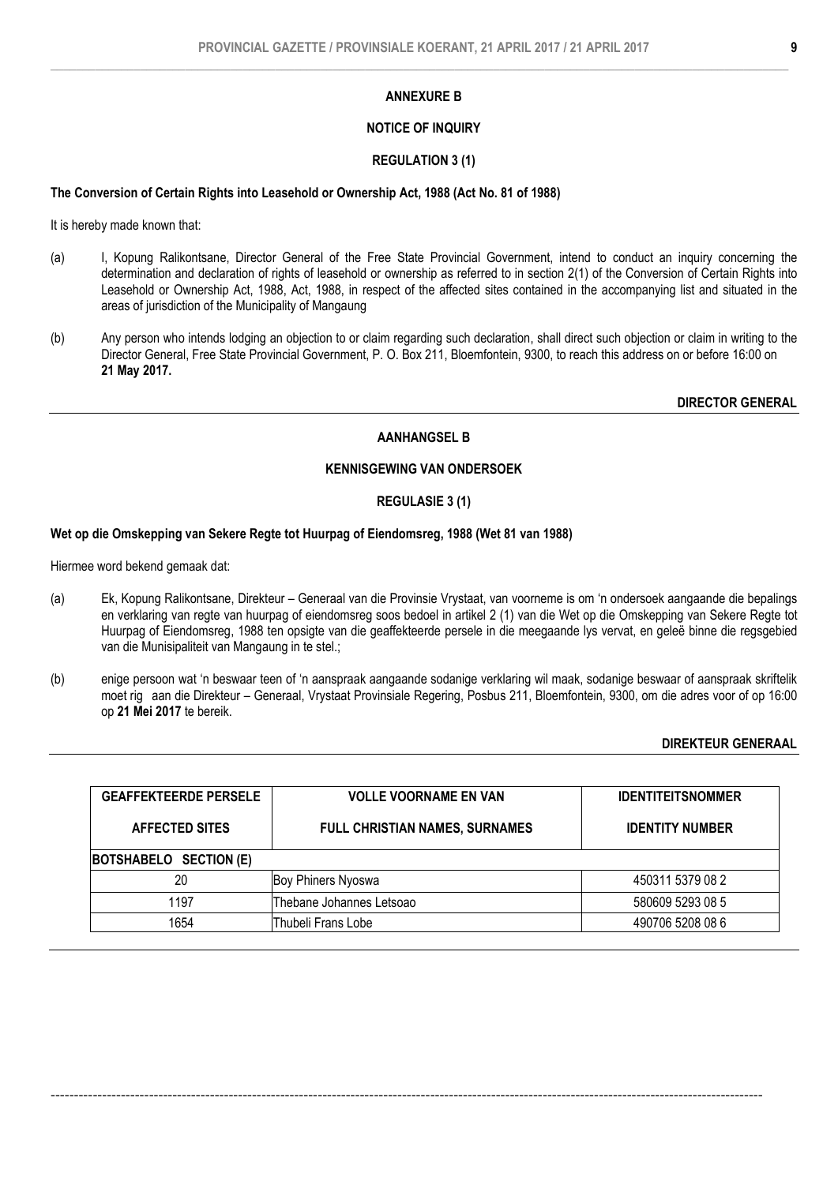# NOTICE OF INQUIRY

# REGULATION 3 (1)

### The Conversion of Certain Rights into Leasehold or Ownership Act, 1988 (Act No. 81 of 1988)

It is hereby made known that:

- (a) I, Kopung Ralikontsane, Director General of the Free State Provincial Government, intend to conduct an inquiry concerning the determination and declaration of rights of leasehold or ownership as referred to in section 2(1) of the Conversion of Certain Rights into Leasehold or Ownership Act, 1988, Act, 1988, in respect of the affected sites contained in the accompanying list and situated in the areas of jurisdiction of the Municipality of Mangaung
- (b) Any person who intends lodging an objection to or claim regarding such declaration, shall direct such objection or claim in writing to the Director General, Free State Provincial Government, P. O. Box 211, Bloemfontein, 9300, to reach this address on or before 16:00 on 21 May 2017.

DIRECTOR GENERAL

# AANHANGSEL B

# KENNISGEWING VAN ONDERSOEK

# REGULASIE 3 (1)

#### Wet op die Omskepping van Sekere Regte tot Huurpag of Eiendomsreg, 1988 (Wet 81 van 1988)

Hiermee word bekend gemaak dat:

- (a) Ek, Kopung Ralikontsane, Direkteur Generaal van die Provinsie Vrystaat, van voorneme is om 'n ondersoek aangaande die bepalings en verklaring van regte van huurpag of eiendomsreg soos bedoel in artikel 2 (1) van die Wet op die Omskepping van Sekere Regte tot Huurpag of Eiendomsreg, 1988 ten opsigte van die geaffekteerde persele in die meegaande lys vervat, en geleë binne die regsgebied van die Munisipaliteit van Mangaung in te stel.;
- (b) enige persoon wat 'n beswaar teen of 'n aanspraak aangaande sodanige verklaring wil maak, sodanige beswaar of aanspraak skriftelik moet rig aan die Direkteur – Generaal, Vrystaat Provinsiale Regering, Posbus 211, Bloemfontein, 9300, om die adres voor of op 16:00 op 21 Mei 2017 te bereik.

# DIREKTEUR GENERAAL

| <b>GEAFFEKTEERDE PERSELE</b> | <b>VOLLE VOORNAME EN VAN</b>          | <b>IDENTITEITSNOMMER</b> |  |  |  |
|------------------------------|---------------------------------------|--------------------------|--|--|--|
| <b>AFFECTED SITES</b>        | <b>FULL CHRISTIAN NAMES, SURNAMES</b> | <b>IDENTITY NUMBER</b>   |  |  |  |
| BOTSHABELO SECTION (E)       |                                       |                          |  |  |  |
| 20                           | <b>Boy Phiners Nyoswa</b>             | 450311 5379 08 2         |  |  |  |
| 1197                         | Thebane Johannes Letsoao              | 580609 5293 08 5         |  |  |  |
| 1654                         | Thubeli Frans Lobe                    | 490706 5208 08 6         |  |  |  |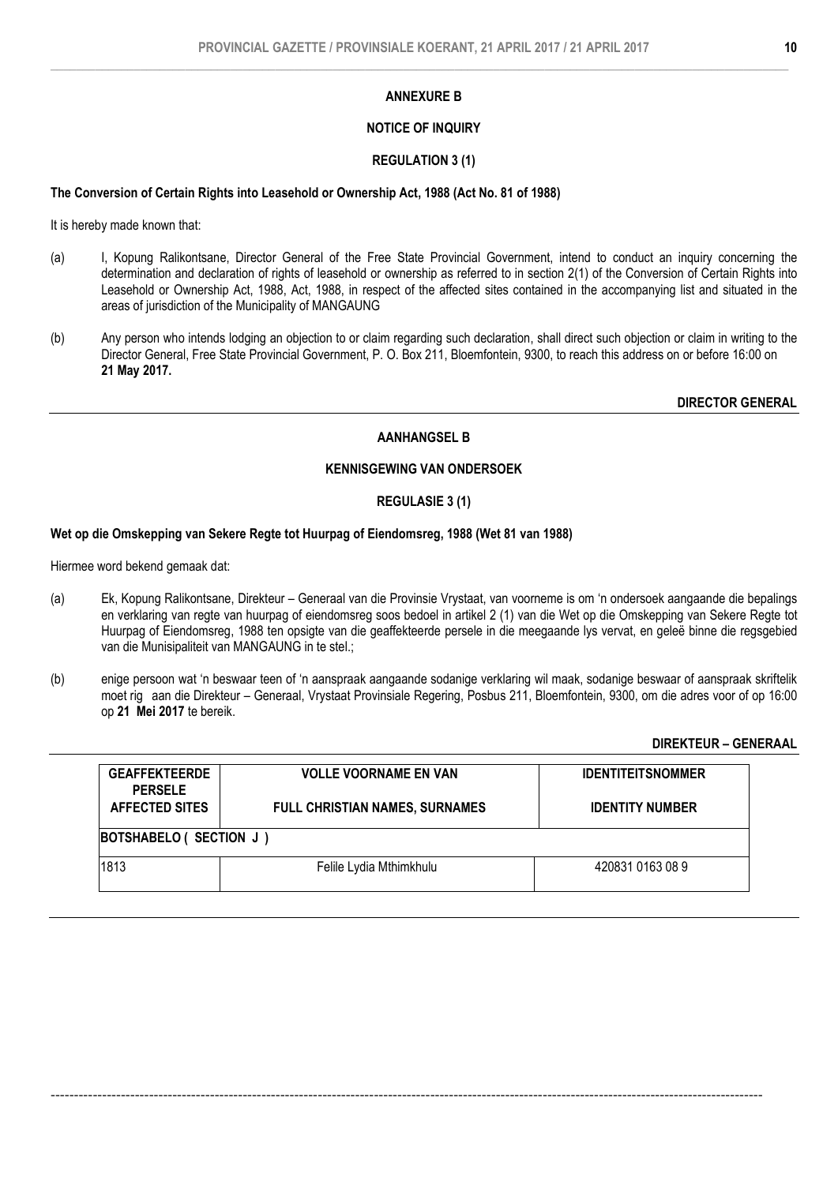# NOTICE OF INQUIRY

### REGULATION 3 (1)

#### The Conversion of Certain Rights into Leasehold or Ownership Act, 1988 (Act No. 81 of 1988)

It is hereby made known that:

- (a) I, Kopung Ralikontsane, Director General of the Free State Provincial Government, intend to conduct an inquiry concerning the determination and declaration of rights of leasehold or ownership as referred to in section 2(1) of the Conversion of Certain Rights into Leasehold or Ownership Act, 1988, Act, 1988, in respect of the affected sites contained in the accompanying list and situated in the areas of jurisdiction of the Municipality of MANGAUNG
- (b) Any person who intends lodging an objection to or claim regarding such declaration, shall direct such objection or claim in writing to the Director General, Free State Provincial Government, P. O. Box 211, Bloemfontein, 9300, to reach this address on or before 16:00 on 21 May 2017.

DIRECTOR GENERAL

# AANHANGSEL B

# KENNISGEWING VAN ONDERSOEK

# REGULASIE 3 (1)

#### Wet op die Omskepping van Sekere Regte tot Huurpag of Eiendomsreg, 1988 (Wet 81 van 1988)

Hiermee word bekend gemaak dat:

- (a) Ek, Kopung Ralikontsane, Direkteur Generaal van die Provinsie Vrystaat, van voorneme is om 'n ondersoek aangaande die bepalings en verklaring van regte van huurpag of eiendomsreg soos bedoel in artikel 2 (1) van die Wet op die Omskepping van Sekere Regte tot Huurpag of Eiendomsreg, 1988 ten opsigte van die geaffekteerde persele in die meegaande lys vervat, en geleë binne die regsgebied van die Munisipaliteit van MANGAUNG in te stel.;
- (b) enige persoon wat 'n beswaar teen of 'n aanspraak aangaande sodanige verklaring wil maak, sodanige beswaar of aanspraak skriftelik moet rig aan die Direkteur – Generaal, Vrystaat Provinsiale Regering, Posbus 211, Bloemfontein, 9300, om die adres voor of op 16:00 op 21 Mei 2017 te bereik.

# DIREKTEUR – GENERAAL

| <b>GEAFFEKTEERDE</b><br><b>PERSELE</b> | <b>VOLLE VOORNAME EN VAN</b>          | <b>IDENTITEITSNOMMER</b> |
|----------------------------------------|---------------------------------------|--------------------------|
| <b>AFFECTED SITES</b>                  | <b>FULL CHRISTIAN NAMES, SURNAMES</b> | <b>IDENTITY NUMBER</b>   |
| BOTSHABELO ( SECTION J )               |                                       |                          |
| 1813                                   | Felile Lydia Mthimkhulu               | 420831 0163 08 9         |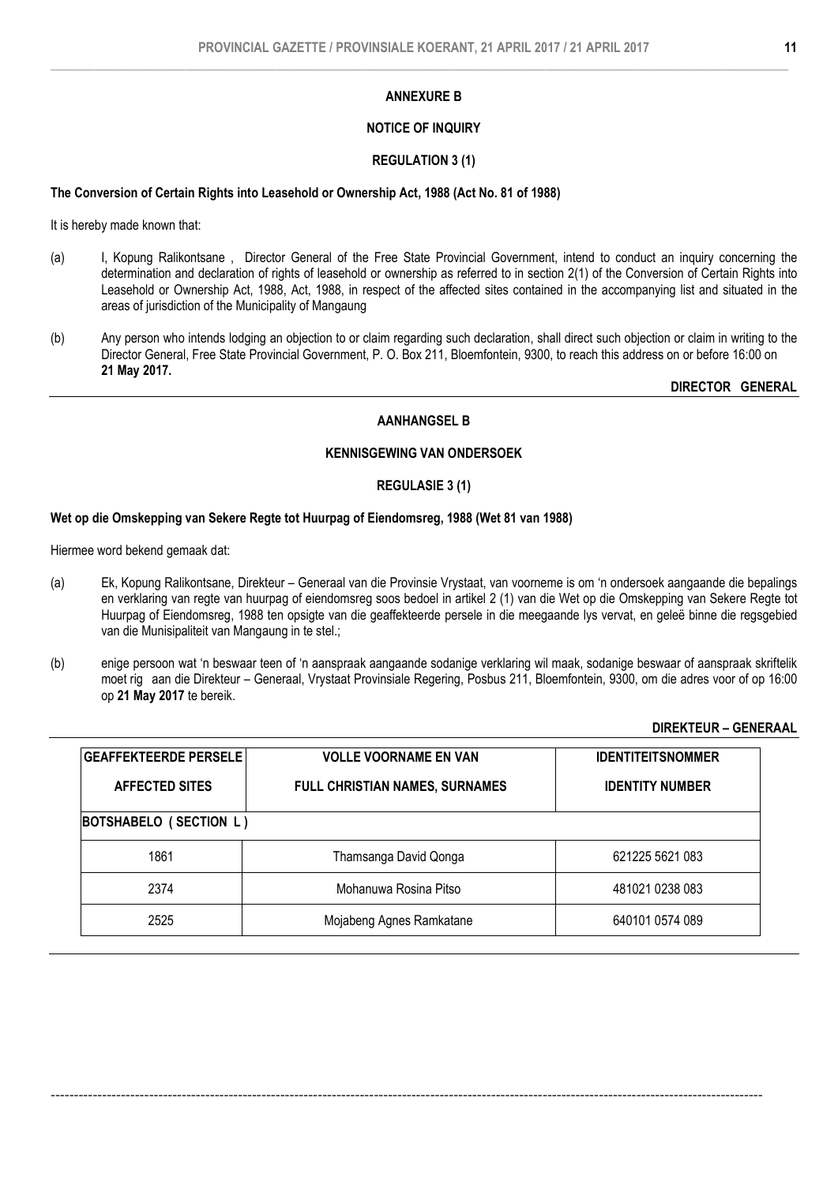# NOTICE OF INQUIRY

### REGULATION 3 (1)

#### The Conversion of Certain Rights into Leasehold or Ownership Act, 1988 (Act No. 81 of 1988)

It is hereby made known that:

- (a) I, Kopung Ralikontsane , Director General of the Free State Provincial Government, intend to conduct an inquiry concerning the determination and declaration of rights of leasehold or ownership as referred to in section 2(1) of the Conversion of Certain Rights into Leasehold or Ownership Act, 1988, Act, 1988, in respect of the affected sites contained in the accompanying list and situated in the areas of jurisdiction of the Municipality of Mangaung
- (b) Any person who intends lodging an objection to or claim regarding such declaration, shall direct such objection or claim in writing to the Director General, Free State Provincial Government, P. O. Box 211, Bloemfontein, 9300, to reach this address on or before 16:00 on 21 May 2017.

DIRECTOR GENERAL

# AANHANGSEL B

# KENNISGEWING VAN ONDERSOEK

#### REGULASIE 3 (1)

#### Wet op die Omskepping van Sekere Regte tot Huurpag of Eiendomsreg, 1988 (Wet 81 van 1988)

Hiermee word bekend gemaak dat:

- (a) Ek, Kopung Ralikontsane, Direkteur Generaal van die Provinsie Vrystaat, van voorneme is om 'n ondersoek aangaande die bepalings en verklaring van regte van huurpag of eiendomsreg soos bedoel in artikel 2 (1) van die Wet op die Omskepping van Sekere Regte tot Huurpag of Eiendomsreg, 1988 ten opsigte van die geaffekteerde persele in die meegaande lys vervat, en geleë binne die regsgebied van die Munisipaliteit van Mangaung in te stel.;
- (b) enige persoon wat 'n beswaar teen of 'n aanspraak aangaande sodanige verklaring wil maak, sodanige beswaar of aanspraak skriftelik moet rig aan die Direkteur – Generaal, Vrystaat Provinsiale Regering, Posbus 211, Bloemfontein, 9300, om die adres voor of op 16:00 op 21 May 2017 te bereik.

# DIREKTEUR – GENERAAL

| <b>GEAFFEKTEERDE PERSELE</b> | <b>VOLLE VOORNAME EN VAN</b>          | <b>IDENTITEITSNOMMER</b> |
|------------------------------|---------------------------------------|--------------------------|
| <b>AFFECTED SITES</b>        | <b>FULL CHRISTIAN NAMES, SURNAMES</b> | <b>IDENTITY NUMBER</b>   |
| BOTSHABELO (SECTION L)       |                                       |                          |
| 1861                         | Thamsanga David Qonga                 | 621225 5621 083          |
| 2374                         | Mohanuwa Rosina Pitso                 | 481021 0238 083          |
| 2525                         | Mojabeng Agnes Ramkatane              | 640101 0574 089          |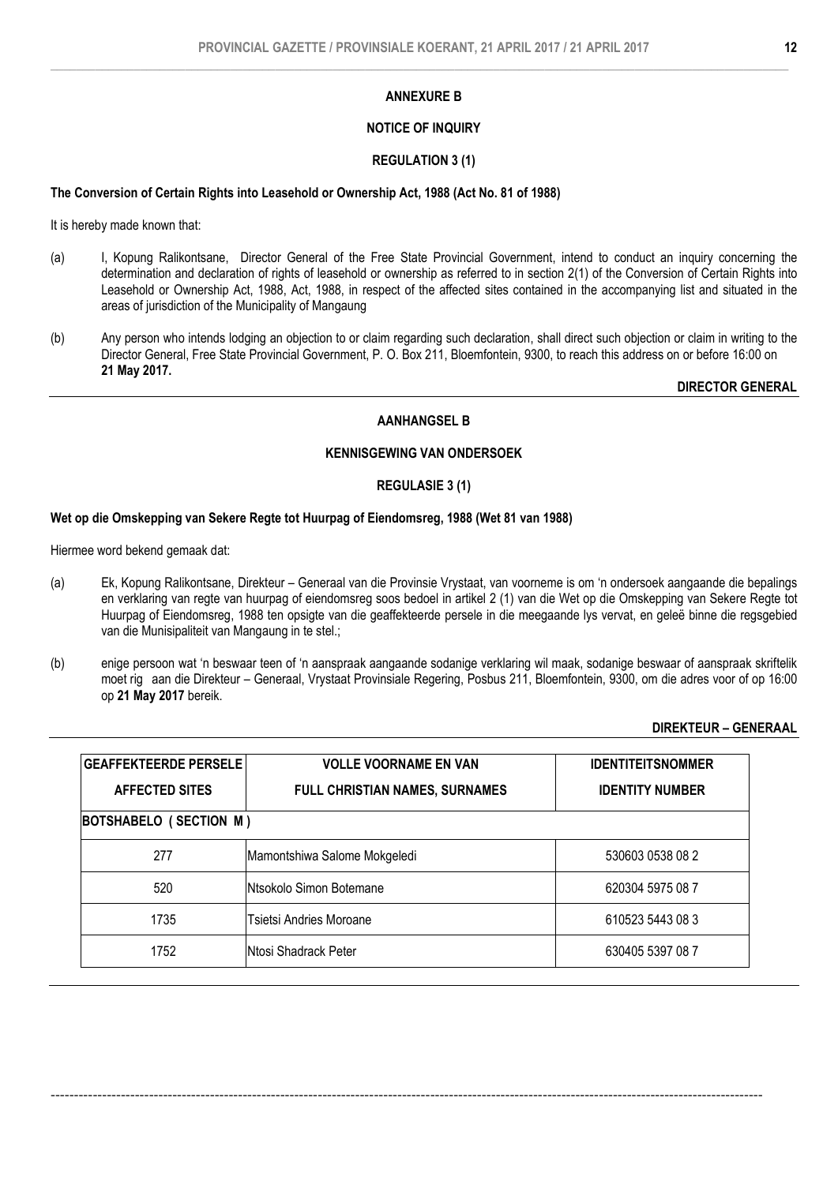# NOTICE OF INQUIRY

### REGULATION 3 (1)

### The Conversion of Certain Rights into Leasehold or Ownership Act, 1988 (Act No. 81 of 1988)

It is hereby made known that:

- (a) I, Kopung Ralikontsane, Director General of the Free State Provincial Government, intend to conduct an inquiry concerning the determination and declaration of rights of leasehold or ownership as referred to in section 2(1) of the Conversion of Certain Rights into Leasehold or Ownership Act, 1988, Act, 1988, in respect of the affected sites contained in the accompanying list and situated in the areas of jurisdiction of the Municipality of Mangaung
- (b) Any person who intends lodging an objection to or claim regarding such declaration, shall direct such objection or claim in writing to the Director General, Free State Provincial Government, P. O. Box 211, Bloemfontein, 9300, to reach this address on or before 16:00 on 21 May 2017.

DIRECTOR GENERAL

# AANHANGSEL B

# KENNISGEWING VAN ONDERSOEK

#### REGULASIE 3 (1)

#### Wet op die Omskepping van Sekere Regte tot Huurpag of Eiendomsreg, 1988 (Wet 81 van 1988)

Hiermee word bekend gemaak dat:

- (a) Ek, Kopung Ralikontsane, Direkteur Generaal van die Provinsie Vrystaat, van voorneme is om 'n ondersoek aangaande die bepalings en verklaring van regte van huurpag of eiendomsreg soos bedoel in artikel 2 (1) van die Wet op die Omskepping van Sekere Regte tot Huurpag of Eiendomsreg, 1988 ten opsigte van die geaffekteerde persele in die meegaande lys vervat, en geleë binne die regsgebied van die Munisipaliteit van Mangaung in te stel.;
- (b) enige persoon wat 'n beswaar teen of 'n aanspraak aangaande sodanige verklaring wil maak, sodanige beswaar of aanspraak skriftelik moet rig aan die Direkteur – Generaal, Vrystaat Provinsiale Regering, Posbus 211, Bloemfontein, 9300, om die adres voor of op 16:00 op 21 May 2017 bereik.

#### DIREKTEUR – GENERAAL

| <b>GEAFFEKTEERDE PERSELE</b><br><b>AFFECTED SITES</b> | <b>VOLLE VOORNAME EN VAN</b><br><b>FULL CHRISTIAN NAMES, SURNAMES</b> | <b>IDENTITEITSNOMMER</b><br><b>IDENTITY NUMBER</b> |
|-------------------------------------------------------|-----------------------------------------------------------------------|----------------------------------------------------|
| BOTSHABELO (SECTION M)                                |                                                                       |                                                    |
| 277                                                   | Mamontshiwa Salome Mokgeledi                                          | 530603 0538 08 2                                   |
| 520                                                   | Ntsokolo Simon Botemane                                               | 620304 5975 08 7                                   |
| 1735                                                  | Tsietsi Andries Moroane                                               | 610523 5443 08 3                                   |
| 1752                                                  | <b>Ntosi Shadrack Peter</b>                                           | 630405 5397 08 7                                   |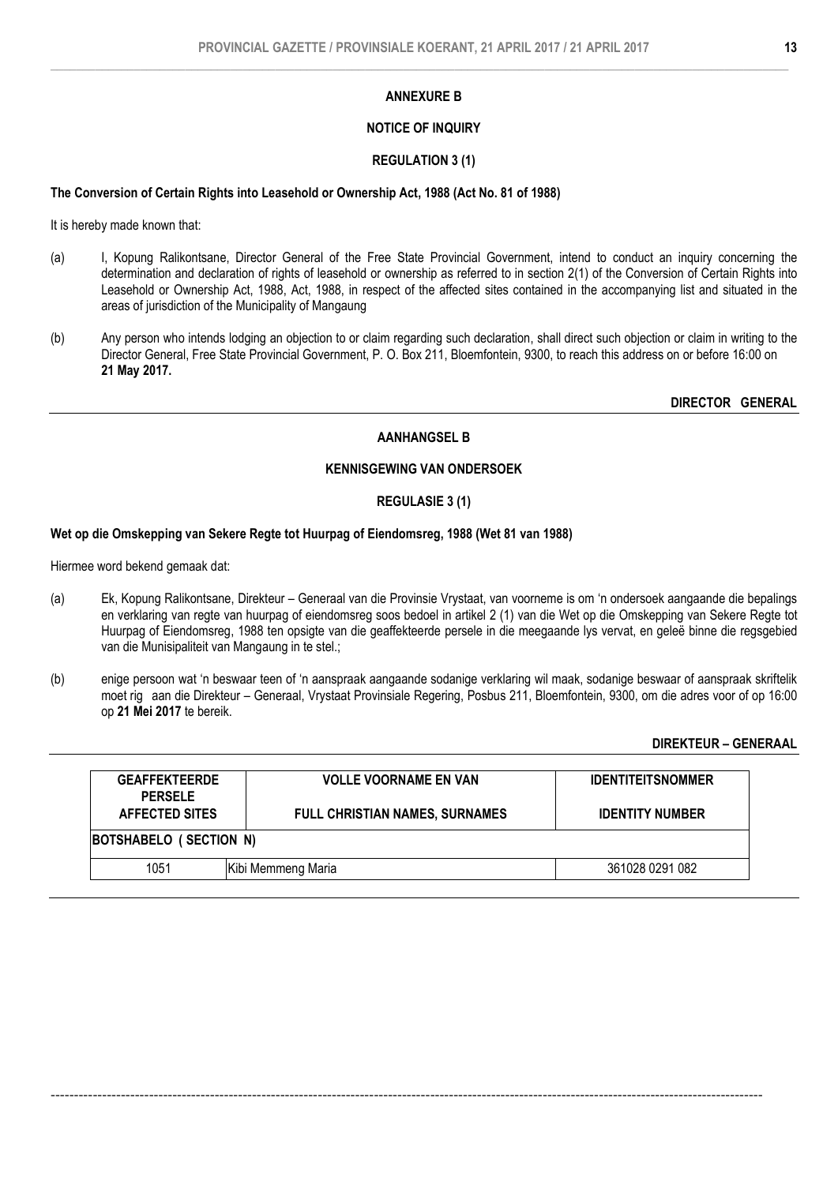# NOTICE OF INQUIRY

# REGULATION 3 (1)

# The Conversion of Certain Rights into Leasehold or Ownership Act, 1988 (Act No. 81 of 1988)

It is hereby made known that:

- (a) I, Kopung Ralikontsane, Director General of the Free State Provincial Government, intend to conduct an inquiry concerning the determination and declaration of rights of leasehold or ownership as referred to in section 2(1) of the Conversion of Certain Rights into Leasehold or Ownership Act, 1988, Act, 1988, in respect of the affected sites contained in the accompanying list and situated in the areas of jurisdiction of the Municipality of Mangaung
- (b) Any person who intends lodging an objection to or claim regarding such declaration, shall direct such objection or claim in writing to the Director General, Free State Provincial Government, P. O. Box 211, Bloemfontein, 9300, to reach this address on or before 16:00 on 21 May 2017.

DIRECTOR GENERAL

# AANHANGSEL B

# KENNISGEWING VAN ONDERSOEK

# REGULASIE 3 (1)

# Wet op die Omskepping van Sekere Regte tot Huurpag of Eiendomsreg, 1988 (Wet 81 van 1988)

Hiermee word bekend gemaak dat:

- (a) Ek, Kopung Ralikontsane, Direkteur Generaal van die Provinsie Vrystaat, van voorneme is om 'n ondersoek aangaande die bepalings en verklaring van regte van huurpag of eiendomsreg soos bedoel in artikel 2 (1) van die Wet op die Omskepping van Sekere Regte tot Huurpag of Eiendomsreg, 1988 ten opsigte van die geaffekteerde persele in die meegaande lys vervat, en geleë binne die regsgebied van die Munisipaliteit van Mangaung in te stel.;
- (b) enige persoon wat 'n beswaar teen of 'n aanspraak aangaande sodanige verklaring wil maak, sodanige beswaar of aanspraak skriftelik moet rig aan die Direkteur – Generaal, Vrystaat Provinsiale Regering, Posbus 211, Bloemfontein, 9300, om die adres voor of op 16:00 op 21 Mei 2017 te bereik.

# DIREKTEUR – GENERAAL

| <b>GEAFFEKTEERDE</b><br><b>PERSELE</b> | <b>VOLLE VOORNAME EN VAN</b>          | <b>IDENTITEITSNOMMER</b> |  |  |
|----------------------------------------|---------------------------------------|--------------------------|--|--|
| <b>AFFECTED SITES</b>                  | <b>FULL CHRISTIAN NAMES, SURNAMES</b> | <b>IDENTITY NUMBER</b>   |  |  |
| BOTSHABELO (SECTION N)                 |                                       |                          |  |  |
| 1051                                   | Kibi Memmeng Maria                    | 361028 0291 082          |  |  |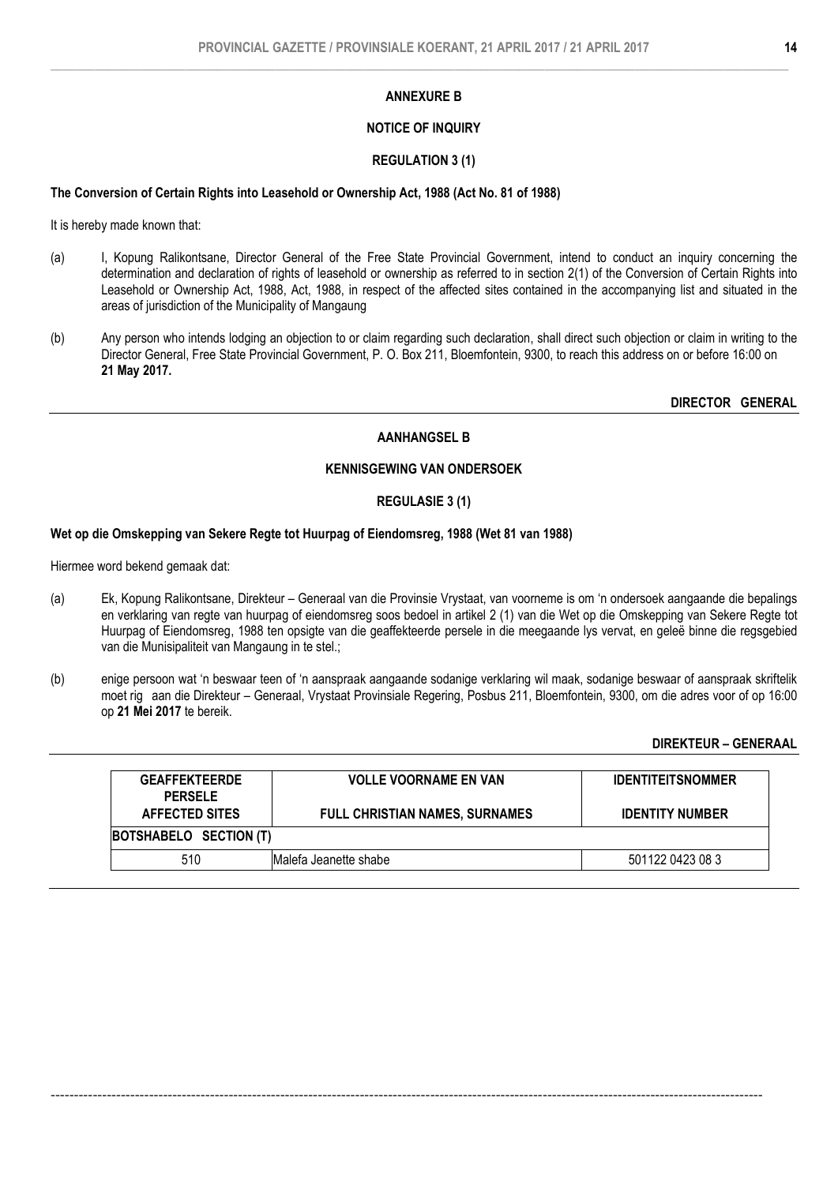# NOTICE OF INQUIRY

### REGULATION 3 (1)

#### The Conversion of Certain Rights into Leasehold or Ownership Act, 1988 (Act No. 81 of 1988)

It is hereby made known that:

- (a) I, Kopung Ralikontsane, Director General of the Free State Provincial Government, intend to conduct an inquiry concerning the determination and declaration of rights of leasehold or ownership as referred to in section 2(1) of the Conversion of Certain Rights into Leasehold or Ownership Act, 1988, Act, 1988, in respect of the affected sites contained in the accompanying list and situated in the areas of jurisdiction of the Municipality of Mangaung
- (b) Any person who intends lodging an objection to or claim regarding such declaration, shall direct such objection or claim in writing to the Director General, Free State Provincial Government, P. O. Box 211, Bloemfontein, 9300, to reach this address on or before 16:00 on 21 May 2017.

DIRECTOR GENERAL

# AANHANGSEL B

# KENNISGEWING VAN ONDERSOEK

# REGULASIE 3 (1)

#### Wet op die Omskepping van Sekere Regte tot Huurpag of Eiendomsreg, 1988 (Wet 81 van 1988)

Hiermee word bekend gemaak dat:

- (a) Ek, Kopung Ralikontsane, Direkteur Generaal van die Provinsie Vrystaat, van voorneme is om 'n ondersoek aangaande die bepalings en verklaring van regte van huurpag of eiendomsreg soos bedoel in artikel 2 (1) van die Wet op die Omskepping van Sekere Regte tot Huurpag of Eiendomsreg, 1988 ten opsigte van die geaffekteerde persele in die meegaande lys vervat, en geleë binne die regsgebied van die Munisipaliteit van Mangaung in te stel.;
- (b) enige persoon wat 'n beswaar teen of 'n aanspraak aangaande sodanige verklaring wil maak, sodanige beswaar of aanspraak skriftelik moet rig aan die Direkteur – Generaal, Vrystaat Provinsiale Regering, Posbus 211, Bloemfontein, 9300, om die adres voor of op 16:00 op 21 Mei 2017 te bereik.

DIREKTEUR – GENERAAL

| <b>GEAFFEKTEERDE</b><br><b>PERSELE</b> | <b>VOLLE VOORNAME EN VAN</b>          | <b>IDENTITEITSNOMMER</b> |  |
|----------------------------------------|---------------------------------------|--------------------------|--|
| <b>AFFECTED SITES</b>                  | <b>FULL CHRISTIAN NAMES, SURNAMES</b> | <b>IDENTITY NUMBER</b>   |  |
| BOTSHABELO SECTION (T)                 |                                       |                          |  |
| 510                                    | Malefa Jeanette shabe                 | 501122 0423 08 3         |  |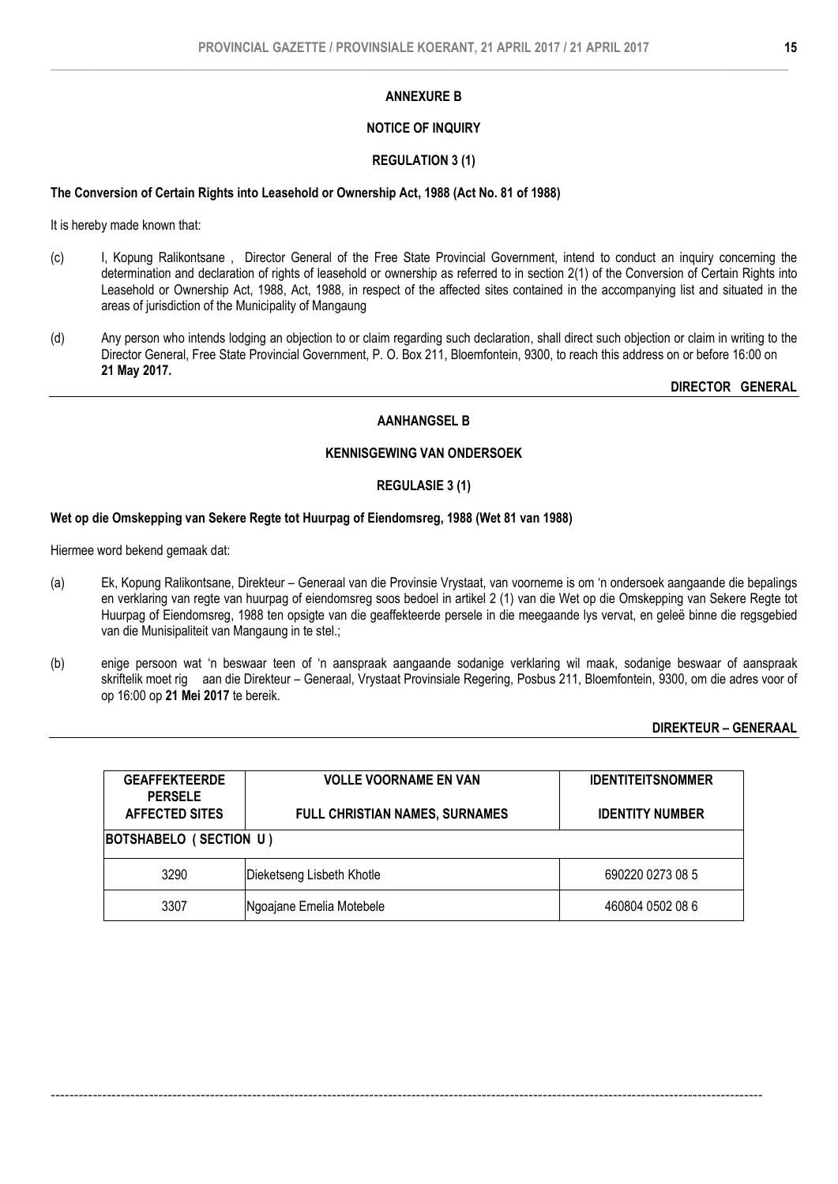# NOTICE OF INQUIRY

# REGULATION 3 (1)

### The Conversion of Certain Rights into Leasehold or Ownership Act, 1988 (Act No. 81 of 1988)

It is hereby made known that:

- (c) I, Kopung Ralikontsane , Director General of the Free State Provincial Government, intend to conduct an inquiry concerning the determination and declaration of rights of leasehold or ownership as referred to in section 2(1) of the Conversion of Certain Rights into Leasehold or Ownership Act, 1988, Act, 1988, in respect of the affected sites contained in the accompanying list and situated in the areas of jurisdiction of the Municipality of Mangaung
- (d) Any person who intends lodging an objection to or claim regarding such declaration, shall direct such objection or claim in writing to the Director General, Free State Provincial Government, P. O. Box 211, Bloemfontein, 9300, to reach this address on or before 16:00 on 21 May 2017.

DIRECTOR GENERAL

# AANHANGSEL B

# KENNISGEWING VAN ONDERSOEK

#### REGULASIE 3 (1)

# Wet op die Omskepping van Sekere Regte tot Huurpag of Eiendomsreg, 1988 (Wet 81 van 1988)

Hiermee word bekend gemaak dat:

- (a) Ek, Kopung Ralikontsane, Direkteur Generaal van die Provinsie Vrystaat, van voorneme is om 'n ondersoek aangaande die bepalings en verklaring van regte van huurpag of eiendomsreg soos bedoel in artikel 2 (1) van die Wet op die Omskepping van Sekere Regte tot Huurpag of Eiendomsreg, 1988 ten opsigte van die geaffekteerde persele in die meegaande lys vervat, en geleë binne die regsgebied van die Munisipaliteit van Mangaung in te stel.;
- (b) enige persoon wat 'n beswaar teen of 'n aanspraak aangaande sodanige verklaring wil maak, sodanige beswaar of aanspraak skriftelik moet rig aan die Direkteur – Generaal, Vrystaat Provinsiale Regering, Posbus 211, Bloemfontein, 9300, om die adres voor of op 16:00 op 21 Mei 2017 te bereik.

# DIREKTEUR – GENERAAL

| <b>GEAFFEKTEERDE</b><br><b>PERSELE</b><br><b>AFFECTED SITES</b> | <b>VOLLE VOORNAME EN VAN</b><br><b>FULL CHRISTIAN NAMES, SURNAMES</b> | <b>IDENTITEITSNOMMER</b><br><b>IDENTITY NUMBER</b> |  |  |
|-----------------------------------------------------------------|-----------------------------------------------------------------------|----------------------------------------------------|--|--|
|                                                                 | BOTSHABELO (SECTION U)                                                |                                                    |  |  |
| 3290                                                            | Dieketseng Lisbeth Khotle                                             | 690220 0273 08 5                                   |  |  |
| 3307                                                            | Ngoajane Emelia Motebele                                              | 460804 0502 08 6                                   |  |  |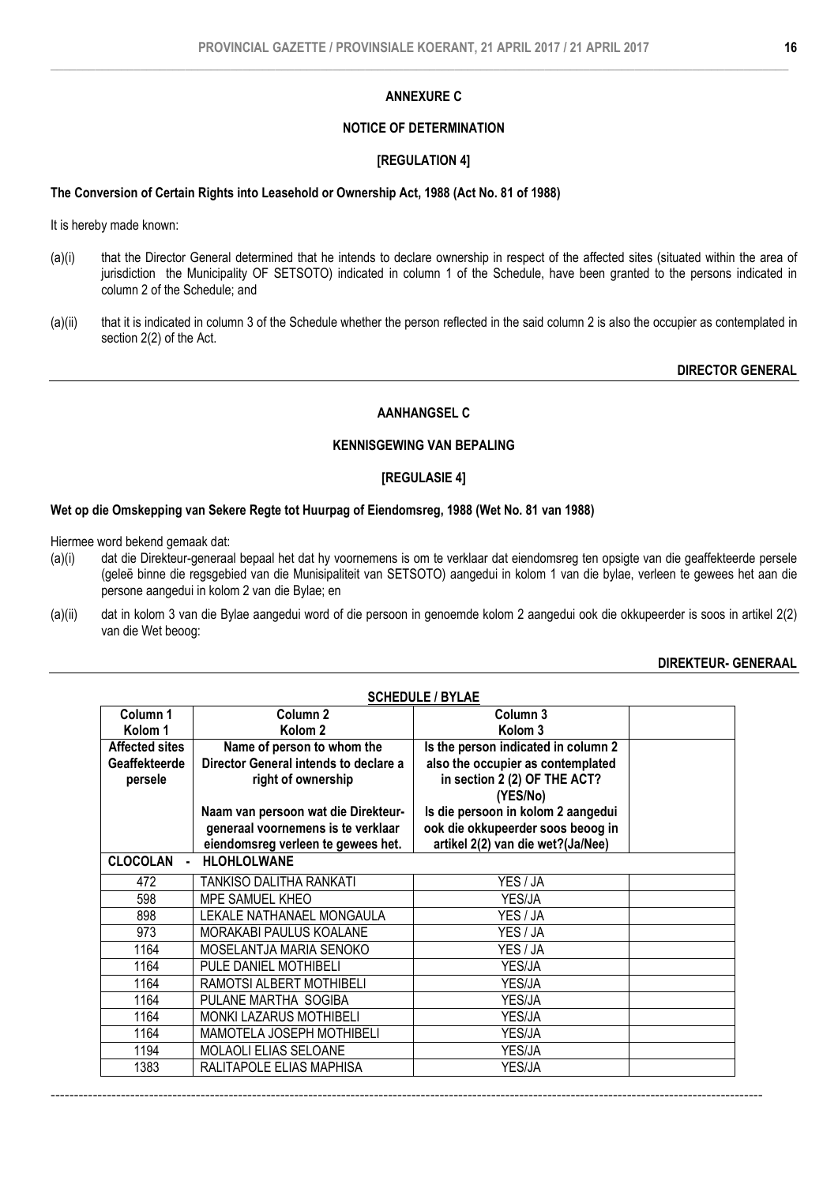# ANNEXURE C

# NOTICE OF DETERMINATION

#### [REGULATION 4]

### The Conversion of Certain Rights into Leasehold or Ownership Act, 1988 (Act No. 81 of 1988)

It is hereby made known:

- (a)(i) that the Director General determined that he intends to declare ownership in respect of the affected sites (situated within the area of jurisdiction the Municipality OF SETSOTO) indicated in column 1 of the Schedule, have been granted to the persons indicated in column 2 of the Schedule; and
- (a)(ii) that it is indicated in column 3 of the Schedule whether the person reflected in the said column 2 is also the occupier as contemplated in section 2(2) of the Act.

DIRECTOR GENERAL

# AANHANGSEL C

# KENNISGEWING VAN BEPALING

### [REGULASIE 4]

#### Wet op die Omskepping van Sekere Regte tot Huurpag of Eiendomsreg, 1988 (Wet No. 81 van 1988)

Hiermee word bekend gemaak dat:

- (a)(i) dat die Direkteur-generaal bepaal het dat hy voornemens is om te verklaar dat eiendomsreg ten opsigte van die geaffekteerde persele (geleë binne die regsgebied van die Munisipaliteit van SETSOTO) aangedui in kolom 1 van die bylae, verleen te gewees het aan die persone aangedui in kolom 2 van die Bylae; en
- (a)(ii) dat in kolom 3 van die Bylae aangedui word of die persoon in genoemde kolom 2 aangedui ook die okkupeerder is soos in artikel 2(2) van die Wet beoog:

#### DIREKTEUR- GENERAAL

| <b>SCHEDULE / BYLAE</b>               |                                       |                                     |  |  |
|---------------------------------------|---------------------------------------|-------------------------------------|--|--|
| Column <sub>1</sub>                   | Column <sub>2</sub>                   | Column <sub>3</sub>                 |  |  |
| Kolom 1                               | Kolom <sub>2</sub>                    | Kolom <sub>3</sub>                  |  |  |
| <b>Affected sites</b>                 | Name of person to whom the            | Is the person indicated in column 2 |  |  |
| Geaffekteerde                         | Director General intends to declare a | also the occupier as contemplated   |  |  |
| persele                               | right of ownership                    | in section 2 (2) OF THE ACT?        |  |  |
|                                       |                                       | (YES/No)                            |  |  |
|                                       | Naam van persoon wat die Direkteur-   | Is die persoon in kolom 2 aangedui  |  |  |
|                                       | generaal voornemens is te verklaar    | ook die okkupeerder soos beoog in   |  |  |
|                                       | eiendomsreg verleen te gewees het.    | artikel 2(2) van die wet?(Ja/Nee)   |  |  |
| <b>HLOHLOLWANE</b><br><b>CLOCOLAN</b> |                                       |                                     |  |  |
| 472                                   | TANKISO DALITHA RANKATI               | YES / JA                            |  |  |
| 598                                   | MPE SAMUEL KHEO                       | YES/JA                              |  |  |
| 898                                   | LEKALE NATHANAEL MONGAULA             | YES / JA                            |  |  |
| 973                                   | <b>MORAKABI PAULUS KOALANE</b>        | YES / JA                            |  |  |
| 1164                                  | MOSELANTJA MARIA SENOKO               | YES / JA                            |  |  |
| 1164                                  | PULE DANIEL MOTHIBELI                 | YES/JA                              |  |  |
| 1164                                  | RAMOTSI ALBERT MOTHIBELI              | YES/JA                              |  |  |
| 1164                                  | PULANE MARTHA SOGIBA                  | YES/JA                              |  |  |
| 1164                                  | <b>MONKI LAZARUS MOTHIBELI</b>        | YES/JA                              |  |  |
| 1164                                  | MAMOTELA JOSEPH MOTHIBELI             | YES/JA                              |  |  |
| 1194                                  | MOLAOLI ELIAS SELOANE                 | YES/JA                              |  |  |
| 1383                                  | RALITAPOLE ELIAS MAPHISA              | YES/JA                              |  |  |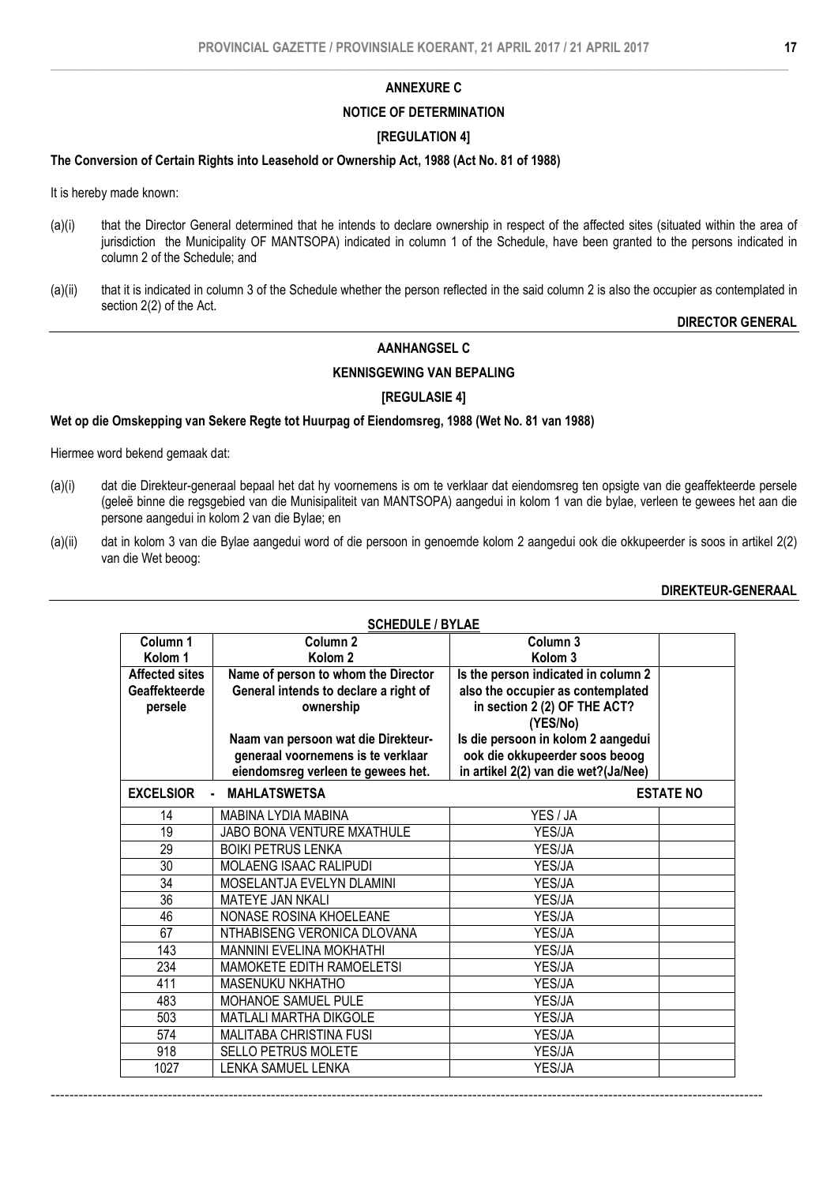#### ANNEXURE C

#### NOTICE OF DETERMINATION

#### [REGULATION 4]

#### The Conversion of Certain Rights into Leasehold or Ownership Act, 1988 (Act No. 81 of 1988)

It is hereby made known:

- (a)(i) that the Director General determined that he intends to declare ownership in respect of the affected sites (situated within the area of jurisdiction the Municipality OF MANTSOPA) indicated in column 1 of the Schedule, have been granted to the persons indicated in column 2 of the Schedule; and
- (a)(ii) that it is indicated in column 3 of the Schedule whether the person reflected in the said column 2 is also the occupier as contemplated in section 2(2) of the Act.

#### DIRECTOR GENERAL

# AANHANGSEL C

# KENNISGEWING VAN BEPALING

# [REGULASIE 4]

#### Wet op die Omskepping van Sekere Regte tot Huurpag of Eiendomsreg, 1988 (Wet No. 81 van 1988)

Hiermee word bekend gemaak dat:

- (a)(i) dat die Direkteur-generaal bepaal het dat hy voornemens is om te verklaar dat eiendomsreg ten opsigte van die geaffekteerde persele (geleë binne die regsgebied van die Munisipaliteit van MANTSOPA) aangedui in kolom 1 van die bylae, verleen te gewees het aan die persone aangedui in kolom 2 van die Bylae; en
- (a)(ii) dat in kolom 3 van die Bylae aangedui word of die persoon in genoemde kolom 2 aangedui ook die okkupeerder is soos in artikel 2(2) van die Wet beoog:

#### DIREKTEUR-GENERAAL

| <b>SCHEDULE / BYLAE</b>  |                                                    |                                                                               |                  |  |
|--------------------------|----------------------------------------------------|-------------------------------------------------------------------------------|------------------|--|
| Column 1                 | Column <sub>2</sub>                                | Column 3                                                                      |                  |  |
| Kolom <sub>1</sub>       | Kolom <sub>2</sub>                                 | Kolom <sub>3</sub>                                                            |                  |  |
| <b>Affected sites</b>    | Name of person to whom the Director                | Is the person indicated in column 2                                           |                  |  |
| Geaffekteerde<br>persele | General intends to declare a right of<br>ownership | also the occupier as contemplated<br>in section 2 (2) OF THE ACT?<br>(YES/No) |                  |  |
|                          | Naam van persoon wat die Direkteur-                | Is die persoon in kolom 2 aangedui                                            |                  |  |
|                          | generaal voornemens is te verklaar                 | ook die okkupeerder soos beoog                                                |                  |  |
|                          | eiendomsreg verleen te gewees het.                 | in artikel 2(2) van die wet?(Ja/Nee)                                          |                  |  |
| <b>EXCELSIOR</b>         | <b>MAHLATSWETSA</b><br>$\blacksquare$              |                                                                               | <b>ESTATE NO</b> |  |
| 14                       | MABINA LYDIA MABINA                                | YES / JA                                                                      |                  |  |
| 19                       | JABO BONA VENTURE MXATHULE                         | YES/JA                                                                        |                  |  |
| 29                       | <b>BOIKI PETRUS LENKA</b>                          | YES/JA                                                                        |                  |  |
| $\overline{30}$          | MOLAENG ISAAC RALIPUDI                             | YES/JA                                                                        |                  |  |
| 34                       | MOSELANTJA EVELYN DLAMINI                          | YES/JA                                                                        |                  |  |
| 36                       | MATEYE JAN NKALI                                   | YES/JA                                                                        |                  |  |
| 46                       | NONASE ROSINA KHOELEANE                            | YES/JA                                                                        |                  |  |
| 67                       | NTHABISENG VERONICA DLOVANA                        | YES/JA                                                                        |                  |  |
| 143                      | <b>MANNINI EVELINA MOKHATHI</b>                    | YES/JA                                                                        |                  |  |
| 234                      | <b>MAMOKETE EDITH RAMOELETSI</b>                   | YES/JA                                                                        |                  |  |
| 411                      | MASENUKU NKHATHO                                   | YES/JA                                                                        |                  |  |
| 483                      | MOHANOE SAMUEL PULE                                | YES/JA                                                                        |                  |  |
| 503                      | <b>MATLALI MARTHA DIKGOLE</b>                      | YES/JA                                                                        |                  |  |
| 574                      | MALITABA CHRISTINA FUSI                            | YES/JA                                                                        |                  |  |
| 918                      | SELLO PETRUS MOLETE                                | YES/JA                                                                        |                  |  |
| 1027                     | LENKA SAMUEL LENKA                                 | YES/JA                                                                        |                  |  |

--------------------------------------------------------------------------------------------------------------------------------------------------------

#### SCHEDULE / BYLAE